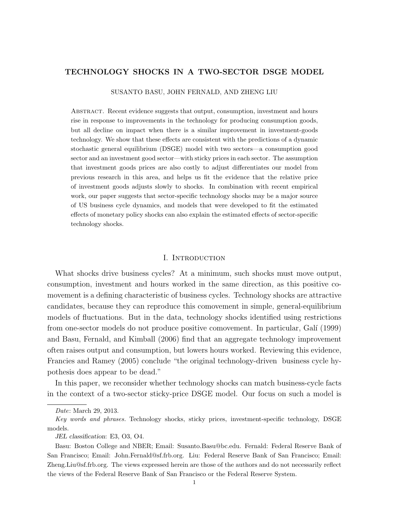# TECHNOLOGY SHOCKS IN A TWO-SECTOR DSGE MODEL

#### SUSANTO BASU, JOHN FERNALD, AND ZHENG LIU

Abstract. Recent evidence suggests that output, consumption, investment and hours rise in response to improvements in the technology for producing consumption goods, but all decline on impact when there is a similar improvement in investment-goods technology. We show that these effects are consistent with the predictions of a dynamic stochastic general equilibrium (DSGE) model with two sectors—a consumption good sector and an investment good sector—with sticky prices in each sector. The assumption that investment goods prices are also costly to adjust differentiates our model from previous research in this area, and helps us fit the evidence that the relative price of investment goods adjusts slowly to shocks. In combination with recent empirical work, our paper suggests that sector-specific technology shocks may be a major source of US business cycle dynamics, and models that were developed to fit the estimated effects of monetary policy shocks can also explain the estimated effects of sector-specific technology shocks.

## I. Introduction

What shocks drive business cycles? At a minimum, such shocks must move output, consumption, investment and hours worked in the same direction, as this positive comovement is a defining characteristic of business cycles. Technology shocks are attractive candidates, because they can reproduce this comovement in simple, general-equilibrium models of fluctuations. But in the data, technology shocks identified using restrictions from one-sector models do not produce positive comovement. In particular, Gal´ı (1999) and Basu, Fernald, and Kimball (2006) find that an aggregate technology improvement often raises output and consumption, but lowers hours worked. Reviewing this evidence, Francies and Ramey (2005) conclude "the original technology-driven business cycle hypothesis does appear to be dead."

In this paper, we reconsider whether technology shocks can match business-cycle facts in the context of a two-sector sticky-price DSGE model. Our focus on such a model is

Date: March 29, 2013.

Key words and phrases. Technology shocks, sticky prices, investment-specific technology, DSGE models.

JEL classification: E3, O3, O4.

Basu: Boston College and NBER; Email: Susanto.Basu@bc.edu. Fernald: Federal Reserve Bank of San Francisco; Email: John.Fernald@sf.frb.org. Liu: Federal Reserve Bank of San Francisco; Email: Zheng.Liu@sf.frb.org. The views expressed herein are those of the authors and do not necessarily reflect the views of the Federal Reserve Bank of San Francisco or the Federal Reserve System.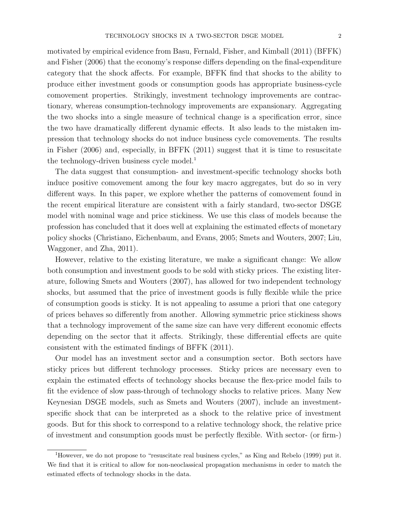motivated by empirical evidence from Basu, Fernald, Fisher, and Kimball (2011) (BFFK) and Fisher (2006) that the economy's response differs depending on the final-expenditure category that the shock affects. For example, BFFK find that shocks to the ability to produce either investment goods or consumption goods has appropriate business-cycle comovement properties. Strikingly, investment technology improvements are contractionary, whereas consumption-technology improvements are expansionary. Aggregating the two shocks into a single measure of technical change is a specification error, since the two have dramatically different dynamic effects. It also leads to the mistaken impression that technology shocks do not induce business cycle comovements. The results in Fisher (2006) and, especially, in BFFK (2011) suggest that it is time to resuscitate the technology-driven business cycle model.<sup>1</sup>

The data suggest that consumption- and investment-specific technology shocks both induce positive comovement among the four key macro aggregates, but do so in very different ways. In this paper, we explore whether the patterns of comovement found in the recent empirical literature are consistent with a fairly standard, two-sector DSGE model with nominal wage and price stickiness. We use this class of models because the profession has concluded that it does well at explaining the estimated effects of monetary policy shocks (Christiano, Eichenbaum, and Evans, 2005; Smets and Wouters, 2007; Liu, Waggoner, and Zha, 2011).

However, relative to the existing literature, we make a significant change: We allow both consumption and investment goods to be sold with sticky prices. The existing literature, following Smets and Wouters (2007), has allowed for two independent technology shocks, but assumed that the price of investment goods is fully flexible while the price of consumption goods is sticky. It is not appealing to assume a priori that one category of prices behaves so differently from another. Allowing symmetric price stickiness shows that a technology improvement of the same size can have very different economic effects depending on the sector that it affects. Strikingly, these differential effects are quite consistent with the estimated findings of BFFK (2011).

Our model has an investment sector and a consumption sector. Both sectors have sticky prices but different technology processes. Sticky prices are necessary even to explain the estimated effects of technology shocks because the flex-price model fails to fit the evidence of slow pass-through of technology shocks to relative prices. Many New Keynesian DSGE models, such as Smets and Wouters (2007), include an investmentspecific shock that can be interpreted as a shock to the relative price of investment goods. But for this shock to correspond to a relative technology shock, the relative price of investment and consumption goods must be perfectly flexible. With sector- (or firm-)

<sup>1</sup>However, we do not propose to "resuscitate real business cycles," as King and Rebelo (1999) put it. We find that it is critical to allow for non-neoclassical propagation mechanisms in order to match the estimated effects of technology shocks in the data.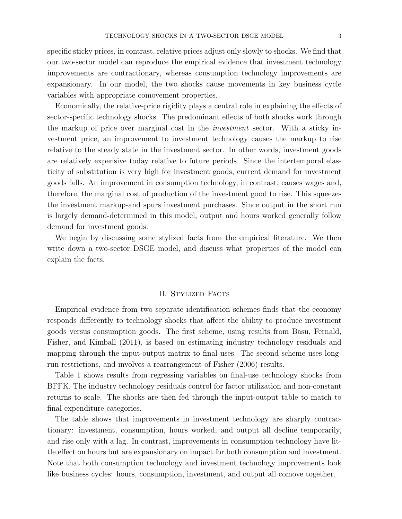specific sticky prices, in contrast, relative prices adjust only slowly to shocks. We find that our two-sector model can reproduce the empirical evidence that investment technology improvements are contractionary, whereas consumption technology improvements are expansionary. In our model, the two shocks cause movements in key business cycle variables with appropriate comovement properties.

Economically, the relative-price rigidity plays a central role in explaining the effects of sector-specific technology shocks. The predominant effects of both shocks work through the markup of price over marginal cost in the investment sector. With a sticky investment price, an improvement to investment technology causes the markup to rise relative to the steady state in the investment sector. In other words, investment goods are relatively expensive today relative to future periods. Since the intertemporal elasticity of substitution is very high for investment goods, current demand for investment goods falls. An improvement in consumption technology, in contrast, causes wages and, therefore, the marginal cost of production of the investment good to rise. This squeezes the investment markup-and spurs investment purchases. Since output in the short run is largely demand-determined in this model, output and hours worked generally follow demand for investment goods.

We begin by discussing some stylized facts from the empirical literature. We then write down a two-sector DSGE model, and discuss what properties of the model can explain the facts.

## II. STYLIZED FACTS

Empirical evidence from two separate identification schemes finds that the economy responds differently to technology shocks that affect the ability to produce investment goods versus consumption goods. The first scheme, using results from Basu, Fernald, Fisher, and Kimball (2011), is based on estimating industry technology residuals and mapping through the input-output matrix to final uses. The second scheme uses longrun restrictions, and involves a rearrangement of Fisher (2006) results.

Table 1 shows results from regressing variables on final-use technology shocks from BFFK. The industry technology residuals control for factor utilization and non-constant returns to scale. The shocks are then fed through the input-output table to match to final expenditure categories.

The table shows that improvements in investment technology are sharply contractionary: investment, consumption, hours worked, and output all decline temporarily, and rise only with a lag. In contrast, improvements in consumption technology have little effect on hours but are expansionary on impact for both consumption and investment. Note that both consumption technology and investment technology improvements look like business cycles: hours, consumption, investment, and output all comove together.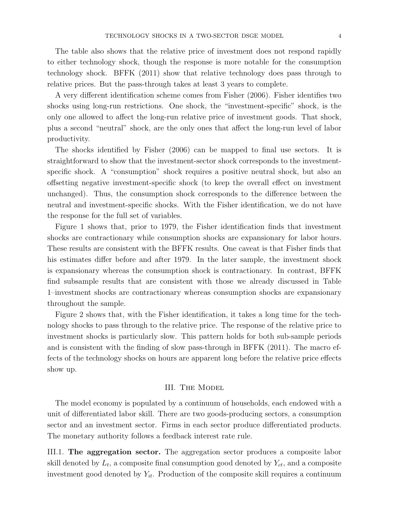The table also shows that the relative price of investment does not respond rapidly to either technology shock, though the response is more notable for the consumption technology shock. BFFK (2011) show that relative technology does pass through to relative prices. But the pass-through takes at least 3 years to complete.

A very different identification scheme comes from Fisher (2006). Fisher identifies two shocks using long-run restrictions. One shock, the "investment-specific" shock, is the only one allowed to affect the long-run relative price of investment goods. That shock, plus a second "neutral" shock, are the only ones that affect the long-run level of labor productivity.

The shocks identified by Fisher (2006) can be mapped to final use sectors. It is straightforward to show that the investment-sector shock corresponds to the investmentspecific shock. A "consumption" shock requires a positive neutral shock, but also an offsetting negative investment-specific shock (to keep the overall effect on investment unchanged). Thus, the consumption shock corresponds to the difference between the neutral and investment-specific shocks. With the Fisher identification, we do not have the response for the full set of variables.

Figure 1 shows that, prior to 1979, the Fisher identification finds that investment shocks are contractionary while consumption shocks are expansionary for labor hours. These results are consistent with the BFFK results. One caveat is that Fisher finds that his estimates differ before and after 1979. In the later sample, the investment shock is expansionary whereas the consumption shock is contractionary. In contrast, BFFK find subsample results that are consistent with those we already discussed in Table 1–investment shocks are contractionary whereas consumption shocks are expansionary throughout the sample.

Figure 2 shows that, with the Fisher identification, it takes a long time for the technology shocks to pass through to the relative price. The response of the relative price to investment shocks is particularly slow. This pattern holds for both sub-sample periods and is consistent with the finding of slow pass-through in BFFK (2011). The macro effects of the technology shocks on hours are apparent long before the relative price effects show up.

## III. The Model

The model economy is populated by a continuum of households, each endowed with a unit of differentiated labor skill. There are two goods-producing sectors, a consumption sector and an investment sector. Firms in each sector produce differentiated products. The monetary authority follows a feedback interest rate rule.

III.1. The aggregation sector. The aggregation sector produces a composite labor skill denoted by  $L_t$ , a composite final consumption good denoted by  $Y_{ct}$ , and a composite investment good denoted by  $Y_{it}$ . Production of the composite skill requires a continuum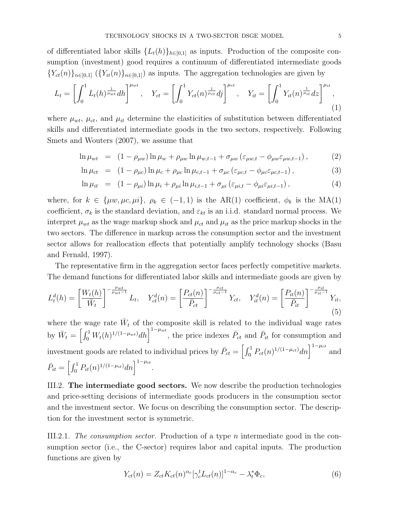of differentiated labor skills  ${L_t(h)}_{h\in[0,1]}$  as inputs. Production of the composite consumption (investment) good requires a continuum of differentiated intermediate goods  ${Y_{ct}(n)}_{n\in[0,1]}$   $({Y_{it}(n)}_{n\in[0,1]})$  as inputs. The aggregation technologies are given by

$$
L_t = \left[ \int_0^1 L_t(h)^{\frac{1}{\mu_{wt}}} dh \right]^{\mu_{wt}}, \quad Y_{ct} = \left[ \int_0^1 Y_{ct}(n)^{\frac{1}{\mu_{ct}}} dj \right]^{\mu_{ct}}, \quad Y_{it} = \left[ \int_0^1 Y_{it}(n)^{\frac{1}{\mu_{it}}} dz \right]^{\mu_{it}}, \tag{1}
$$

where  $\mu_{wt}$ ,  $\mu_{ct}$ , and  $\mu_{it}$  determine the elasticities of substitution between differentiated skills and differentiated intermediate goods in the two sectors, respectively. Following Smets and Wouters (2007), we assume that

$$
\ln \mu_{wt} = (1 - \rho_{\mu w}) \ln \mu_w + \rho_{\mu w} \ln \mu_{w,t-1} + \sigma_{\mu w} (\varepsilon_{\mu w,t} - \phi_{\mu w} \varepsilon_{\mu w,t-1}), \qquad (2)
$$

$$
\ln \mu_{ct} = (1 - \rho_{\mu c}) \ln \mu_c + \rho_{\mu c} \ln \mu_{c,t-1} + \sigma_{\mu c} (\varepsilon_{\mu c,t} - \phi_{\mu c} \varepsilon_{\mu c,t-1}), \qquad (3)
$$

$$
\ln \mu_{it} = (1 - \rho_{\mu i}) \ln \mu_i + \rho_{\mu i} \ln \mu_{i, t-1} + \sigma_{\mu i} (\varepsilon_{\mu i, t} - \phi_{\mu i} \varepsilon_{\mu i, t-1}), \qquad (4)
$$

where, for  $k \in \{\mu w, \mu c, \mu i\}, \rho_k \in (-1, 1)$  is the AR(1) coefficient,  $\phi_k$  is the MA(1) coefficient,  $\sigma_k$  is the standard deviation, and  $\varepsilon_{kt}$  is an i.i.d. standard normal process. We interpret  $\mu_{wt}$  as the wage markup shock and  $\mu_{ct}$  and  $\mu_{it}$  as the price markup shocks in the two sectors. The difference in markup across the consumption sector and the investment sector allows for reallocation effects that potentially amplify technology shocks (Basu and Fernald, 1997).

The representative firm in the aggregation sector faces perfectly competitive markets. The demand functions for differentiated labor skills and intermediate goods are given by

$$
L_t^d(h) = \left[\frac{W_t(h)}{\bar{W}_t}\right]^{-\frac{\mu_{wt}}{\mu_{wt}-1}} L_t, \quad Y_{ct}^d(n) = \left[\frac{P_{ct}(n)}{\bar{P}_{ct}}\right]^{-\frac{\mu_{ct}}{\mu_{ct}-1}} Y_{ct}, \quad Y_{it}^d(n) = \left[\frac{P_{it}(n)}{\bar{P}_{it}}\right]^{-\frac{\mu_{it}}{\mu_{it}-1}} Y_{it},\tag{5}
$$

where the wage rate  $\bar{W}_t$  of the composite skill is related to the individual wage rates by  $\bar{W}_t = \left[\int_0^1 W_t(h)^{1/(1-\mu_{wt})}dh\right]^{1-\mu_{wt}},$  the price indexes  $\bar{P}_{ct}$  and  $\bar{P}_{it}$  for consumption and investment goods are related to individual prices by  $\bar{P}_{ct} = \left[\int_0^1 P_{ct}(n)^{1/(1-\mu_{ct})} dn\right]^{1-\mu_{ct}}$  and  $\bar{P}_{it} = \left[ \int_0^1 P_{it}(n)^{1/(1-\mu_{it})} dn \right]^{1-\mu_{it}}.$ 

III.2. The intermediate good sectors. We now describe the production technologies and price-setting decisions of intermediate goods producers in the consumption sector and the investment sector. We focus on describing the consumption sector. The description for the investment sector is symmetric.

III.2.1. The consumption sector. Production of a type n intermediate good in the consumption sector (i.e., the C-sector) requires labor and capital inputs. The production functions are given by

$$
Y_{ct}(n) = Z_{ct} K_{ct}(n)^{\alpha_c} [\gamma_c^t L_{ct}(n)]^{1-\alpha_c} - \lambda_t^* \Phi_c,
$$
\n
$$
(6)
$$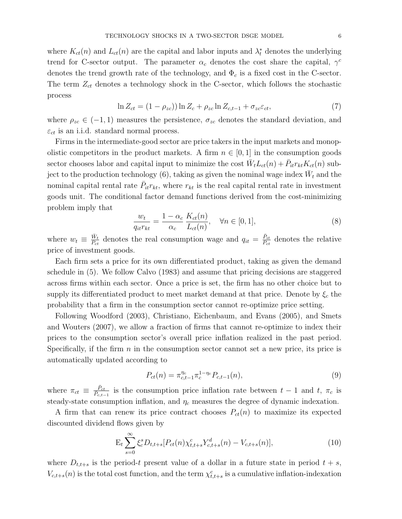where  $K_{ct}(n)$  and  $L_{ct}(n)$  are the capital and labor inputs and  $\lambda_t^*$  denotes the underlying trend for C-sector output. The parameter  $\alpha_c$  denotes the cost share the capital,  $\gamma^c$ denotes the trend growth rate of the technology, and  $\Phi_c$  is a fixed cost in the C-sector. The term  $Z_{ct}$  denotes a technology shock in the C-sector, which follows the stochastic process

$$
\ln Z_{ct} = (1 - \rho_{zc}) \ln Z_c + \rho_{zc} \ln Z_{c,t-1} + \sigma_{zc} \varepsilon_{ct},\tag{7}
$$

where  $\rho_{zc} \in (-1,1)$  measures the persistence,  $\sigma_{zc}$  denotes the standard deviation, and  $\varepsilon_{ct}$  is an i.i.d. standard normal process.

Firms in the intermediate-good sector are price takers in the input markets and monopolistic competitors in the product markets. A firm  $n \in [0, 1]$  in the consumption goods sector chooses labor and capital input to minimize the cost  $\bar{W}_t L_{ct}(n) + \bar{P}_{it} r_{kt} K_{ct}(n)$  subject to the production technology (6), taking as given the nominal wage index  $\bar{W}_t$  and the nominal capital rental rate  $\bar{P}_{it}r_{kt}$ , where  $r_{kt}$  is the real capital rental rate in investment goods unit. The conditional factor demand functions derived from the cost-minimizing problem imply that

$$
\frac{w_t}{q_{it}r_{kt}} = \frac{1 - \alpha_c}{\alpha_c} \frac{K_{ct}(n)}{L_{ct}(n)}, \quad \forall n \in [0, 1],
$$
\n(8)

where  $w_t \equiv \frac{\bar{W}_t}{\bar{P}_{at}}$  $\frac{\bar{W}_t}{\bar{P}_{ct}}$  denotes the real consumption wage and  $q_{it} = \frac{\bar{P}_{it}}{\bar{P}_{ct}}$  denotes the relative price of investment goods.

Each firm sets a price for its own differentiated product, taking as given the demand schedule in (5). We follow Calvo (1983) and assume that pricing decisions are staggered across firms within each sector. Once a price is set, the firm has no other choice but to supply its differentiated product to meet market demand at that price. Denote by  $\xi_c$  the probability that a firm in the consumption sector cannot re-optimize price setting.

Following Woodford (2003), Christiano, Eichenbaum, and Evans (2005), and Smets and Wouters (2007), we allow a fraction of firms that cannot re-optimize to index their prices to the consumption sector's overall price inflation realized in the past period. Specifically, if the firm  $n$  in the consumption sector cannot set a new price, its price is automatically updated according to

$$
P_{ct}(n) = \pi_{c,t-1}^{\eta_c} \pi_c^{1-\eta_c} P_{c,t-1}(n),
$$
\n(9)

where  $\pi_{ct} \equiv \frac{\bar{P}_{ct}}{\bar{P}_{ct}}$  $\frac{P_{ct}}{P_{c,t-1}}$  is the consumption price inflation rate between  $t-1$  and  $t, \pi_c$  is steady-state consumption inflation, and  $\eta_c$  measures the degree of dynamic indexation.

A firm that can renew its price contract chooses  $P_{ct}(n)$  to maximize its expected discounted dividend flows given by

$$
E_t \sum_{s=0}^{\infty} \xi_c^s D_{t,t+s} [P_{ct}(n) \chi_{t,t+s}^c Y_{c,t+s}^d(n) - V_{c,t+s}(n)], \qquad (10)
$$

where  $D_{t,t+s}$  is the period-t present value of a dollar in a future state in period  $t + s$ ,  $V_{c,t+s}(n)$  is the total cost function, and the term  $\chi_{t,t+s}^c$  is a cumulative inflation-indexation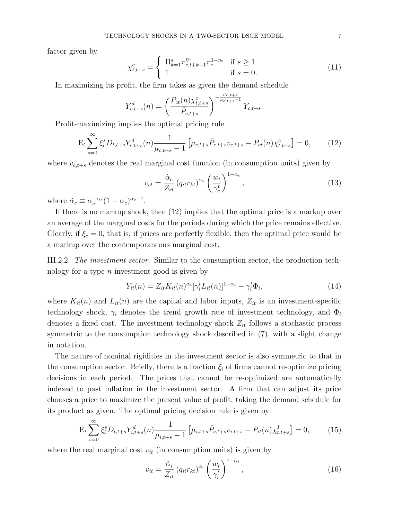factor given by

$$
\chi_{t,t+s}^c = \begin{cases} \n\prod_{k=1}^s \pi_{c,t+k-1}^{\eta_c} \pi_c^{1-\eta_c} & \text{if } s \ge 1 \\ \n1 & \text{if } s = 0. \n\end{cases} \tag{11}
$$

In maximizing its profit, the firm takes as given the demand schedule

$$
Y_{c,t+s}^d(n) = \left(\frac{P_{ct}(n)\chi_{t,t+s}^c}{\bar{P}_{c,t+s}}\right)^{-\frac{\mu_{c,t+s}}{\mu_{c,t+s}-1}} Y_{c,t+s}.
$$

Profit-maximizing implies the optimal pricing rule

$$
E_t \sum_{s=0}^{\infty} \xi_c^s D_{t,t+s} Y_{c,t+s}^d(n) \frac{1}{\mu_{c,t+s} - 1} \left[ \mu_{c,t+s} \bar{P}_{c,t+s} v_{c,t+s} - P_{ct}(n) \chi_{t,t+s}^c \right] = 0, \quad (12)
$$

where  $v_{c,t+s}$  denotes the real marginal cost function (in consumption units) given by

$$
v_{ct} = \frac{\tilde{\alpha}_c}{Z_{ct}} \left( q_{it} r_{kt} \right)^{\alpha_c} \left( \frac{w_t}{\gamma_c^t} \right)^{1 - \alpha_c},\tag{13}
$$

where  $\tilde{\alpha}_c \equiv \alpha_c^{-\alpha_c} (1 - \alpha_c)^{\alpha_c - 1}$ .

If there is no markup shock, then (12) implies that the optimal price is a markup over an average of the marginal costs for the periods during which the price remains effective. Clearly, if  $\xi_c = 0$ , that is, if prices are perfectly flexible, then the optimal price would be a markup over the contemporaneous marginal cost.

III.2.2. The investment sector. Similar to the consumption sector, the production technology for a type  $n$  investment good is given by

$$
Y_{it}(n) = Z_{it} K_{it}(n)^{\alpha_i} [\gamma_i^t L_{it}(n)]^{1-\alpha_i} - \gamma_i^t \Phi_i,
$$
\n(14)

where  $K_{it}(n)$  and  $L_{it}(n)$  are the capital and labor inputs,  $Z_{it}$  is an investment-specific technology shock,  $\gamma_i$  denotes the trend growth rate of investment technology, and  $\Phi_i$ denotes a fixed cost. The investment technology shock  $Z_{it}$  follows a stochastic process symmetric to the consumption technology shock described in (7), with a slight change in notation.

The nature of nominal rigidities in the investment sector is also symmetric to that in the consumption sector. Briefly, there is a fraction  $\xi_i$  of firms cannot re-optimize pricing decisions in each period. The prices that cannot be re-optimized are automatically indexed to past inflation in the investment sector. A firm that can adjust its price chooses a price to maximize the present value of profit, taking the demand schedule for its product as given. The optimal pricing decision rule is given by

$$
E_t \sum_{s=0}^{\infty} \xi_i^s D_{t,t+s} Y_{i,t+s}^d(n) \frac{1}{\mu_{i,t+s} - 1} \left[ \mu_{i,t+s} \bar{P}_{c,t+s} v_{i,t+s} - P_{it}(n) \chi_{t,t+s}^I \right] = 0, \quad (15)
$$

where the real marginal cost  $v_{it}$  (in consumption units) is given by

$$
v_{it} = \frac{\tilde{\alpha}_i}{Z_{it}} \left( q_{it} r_{kt} \right)^{\alpha_i} \left( \frac{w_t}{\gamma_i^t} \right)^{1 - \alpha_i},\tag{16}
$$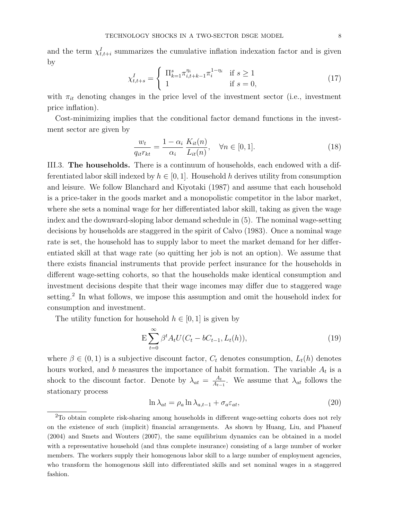and the term  $\chi_{t,t+i}^I$  summarizes the cumulative inflation indexation factor and is given by

$$
\chi_{t,t+s}^I = \begin{cases} \n\prod_{k=1}^s \pi_{i,t+k-1}^{\eta_i} \pi_i^{1-\eta_i} & \text{if } s \ge 1 \\ \n1 & \text{if } s = 0, \n\end{cases} \tag{17}
$$

with  $\pi_{it}$  denoting changes in the price level of the investment sector (i.e., investment price inflation).

Cost-minimizing implies that the conditional factor demand functions in the investment sector are given by

$$
\frac{w_t}{q_{it}r_{kt}} = \frac{1 - \alpha_i}{\alpha_i} \frac{K_{it}(n)}{L_{it}(n)}, \quad \forall n \in [0, 1].
$$
\n(18)

III.3. The households. There is a continuum of households, each endowed with a differentiated labor skill indexed by  $h \in [0, 1]$ . Household h derives utility from consumption and leisure. We follow Blanchard and Kiyotaki (1987) and assume that each household is a price-taker in the goods market and a monopolistic competitor in the labor market, where she sets a nominal wage for her differentiated labor skill, taking as given the wage index and the downward-sloping labor demand schedule in (5). The nominal wage-setting decisions by households are staggered in the spirit of Calvo (1983). Once a nominal wage rate is set, the household has to supply labor to meet the market demand for her differentiated skill at that wage rate (so quitting her job is not an option). We assume that there exists financial instruments that provide perfect insurance for the households in different wage-setting cohorts, so that the households make identical consumption and investment decisions despite that their wage incomes may differ due to staggered wage setting.<sup>2</sup> In what follows, we impose this assumption and omit the household index for consumption and investment.

The utility function for household  $h \in [0, 1]$  is given by

$$
E\sum_{t=0}^{\infty} \beta^t A_t U(C_t - bC_{t-1}, L_t(h)),
$$
\n(19)

where  $\beta \in (0,1)$  is a subjective discount factor,  $C_t$  denotes consumption,  $L_t(h)$  denotes hours worked, and b measures the importance of habit formation. The variable  $A_t$  is a shock to the discount factor. Denote by  $\lambda_{at} = \frac{A_t}{A_t}$  $\frac{A_t}{A_{t-1}}$ . We assume that  $\lambda_{at}$  follows the stationary process

$$
\ln \lambda_{at} = \rho_a \ln \lambda_{a,t-1} + \sigma_a \varepsilon_{at},\tag{20}
$$

<sup>2</sup>To obtain complete risk-sharing among households in different wage-setting cohorts does not rely on the existence of such (implicit) financial arrangements. As shown by Huang, Liu, and Phaneuf (2004) and Smets and Wouters (2007), the same equilibrium dynamics can be obtained in a model with a representative household (and thus complete insurance) consisting of a large number of worker members. The workers supply their homogenous labor skill to a large number of employment agencies, who transform the homogenous skill into differentiated skills and set nominal wages in a staggered fashion.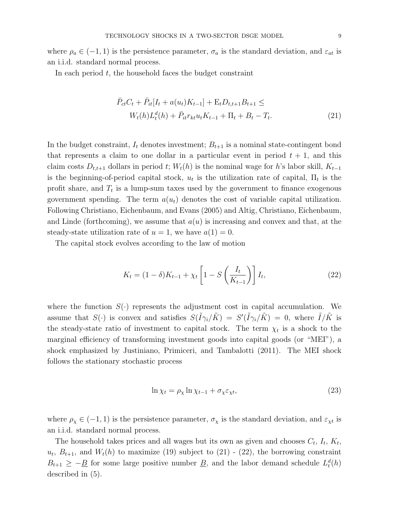where  $\rho_a \in (-1,1)$  is the persistence parameter,  $\sigma_a$  is the standard deviation, and  $\varepsilon_{at}$  is an i.i.d. standard normal process.

In each period  $t$ , the household faces the budget constraint

$$
\bar{P}_{ct}C_t + \bar{P}_{it}[I_t + a(u_t)K_{t-1}] + \mathcal{E}_t D_{t,t+1}B_{t+1} \le
$$
\n
$$
W_t(h)L_t^d(h) + \bar{P}_{it}r_{kt}u_tK_{t-1} + \Pi_t + B_t - T_t.
$$
\n(21)

In the budget constraint,  $I_t$  denotes investment;  $B_{t+1}$  is a nominal state-contingent bond that represents a claim to one dollar in a particular event in period  $t + 1$ , and this claim costs  $D_{t,t+1}$  dollars in period t;  $W_t(h)$  is the nominal wage for h's labor skill,  $K_{t-1}$ is the beginning-of-period capital stock,  $u_t$  is the utilization rate of capital,  $\Pi_t$  is the profit share, and  $T_t$  is a lump-sum taxes used by the government to finance exogenous government spending. The term  $a(u_t)$  denotes the cost of variable capital utilization. Following Christiano, Eichenbaum, and Evans (2005) and Altig, Christiano, Eichenbaum, and Linde (forthcoming), we assume that  $a(u)$  is increasing and convex and that, at the steady-state utilization rate of  $u = 1$ , we have  $a(1) = 0$ .

The capital stock evolves according to the law of motion

$$
K_t = (1 - \delta)K_{t-1} + \chi_t \left[1 - S\left(\frac{I_t}{K_{t-1}}\right)\right]I_t,
$$
\n(22)

where the function  $S(\cdot)$  represents the adjustment cost in capital accumulation. We assume that  $S(\cdot)$  is convex and satisfies  $S(\tilde{I}\gamma_i/\tilde{K}) = S'(\tilde{I}\gamma_i/\tilde{K}) = 0$ , where  $\tilde{I}/\tilde{K}$  is the steady-state ratio of investment to capital stock. The term  $\chi_t$  is a shock to the marginal efficiency of transforming investment goods into capital goods (or "MEI"), a shock emphasized by Justiniano, Primiceri, and Tambalotti (2011). The MEI shock follows the stationary stochastic process

$$
\ln \chi_t = \rho_\chi \ln \chi_{t-1} + \sigma_\chi \varepsilon_{\chi t},\tag{23}
$$

where  $\rho_{\chi} \in (-1, 1)$  is the persistence parameter,  $\sigma_{\chi}$  is the standard deviation, and  $\varepsilon_{\chi t}$  is an i.i.d. standard normal process.

The household takes prices and all wages but its own as given and chooses  $C_t$ ,  $I_t$ ,  $K_t$ ,  $u_t, B_{t+1}$ , and  $W_t(h)$  to maximize (19) subject to (21) - (22), the borrowing constraint  $B_{t+1} \geq -\underline{B}$  for some large positive number  $\underline{B}$ , and the labor demand schedule  $L_t^d(h)$ described in (5).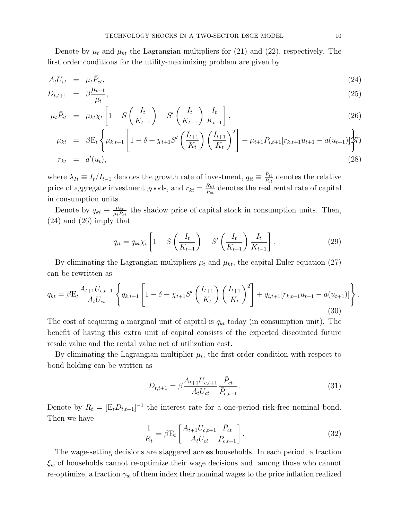Denote by  $\mu_t$  and  $\mu_{kt}$  the Lagrangian multipliers for (21) and (22), respectively. The first order conditions for the utility-maximizing problem are given by

$$
A_t U_{ct} = \mu_t \bar{P}_{ct}, \tag{24}
$$
\n
$$
D = e^{\mu t + 1} \tag{25}
$$

$$
D_{t,t+1} = \beta \frac{\mu_{t+1}}{\mu_t}, \tag{25}
$$

$$
\mu_t \bar{P}_{it} = \mu_{kt} \chi_t \left[ 1 - S \left( \frac{I_t}{K_{t-1}} \right) - S' \left( \frac{I_t}{K_{t-1}} \right) \frac{I_t}{K_{t-1}} \right],\tag{26}
$$

$$
\mu_{kt} = \beta E_t \left\{ \mu_{k,t+1} \left[ 1 - \delta + \chi_{t+1} S' \left( \frac{I_{t+1}}{K_t} \right) \left( \frac{I_{t+1}}{K_t} \right)^2 \right] + \mu_{t+1} \bar{P}_{i,t+1} [r_{k,t+1} u_{t+1} - a(u_{t+1})] \right\}
$$
\n
$$
r_{kt} = a'(u_t), \tag{28}
$$

where  $\lambda_{It} \equiv I_t/I_{t-1}$  denotes the growth rate of investment,  $q_{it} \equiv \frac{\bar{P}_{it}}{\bar{P}_{ct}}$  denotes the relative price of aggregate investment goods, and  $r_{kt} = \frac{R_{kt}}{P_{ct}}$  denotes the real rental rate of capital in consumption units.

Denote by  $q_{kt} \equiv \frac{\mu_{kt}}{\mu_t P_{ct}}$  the shadow price of capital stock in consumption units. Then, (24) and (26) imply that

$$
q_{it} = q_{kt} \chi_t \left[ 1 - S\left(\frac{I_t}{K_{t-1}}\right) - S'\left(\frac{I_t}{K_{t-1}}\right) \frac{I_t}{K_{t-1}} \right].
$$
 (29)

By eliminating the Lagrangian multipliers  $\mu_t$  and  $\mu_{kt}$ , the capital Euler equation (27) can be rewritten as

$$
q_{kt} = \beta \mathcal{E}_t \frac{A_{t+1} U_{c,t+1}}{A_t U_{ct}} \left\{ q_{k,t+1} \left[ 1 - \delta + \chi_{t+1} S' \left( \frac{I_{t+1}}{K_t} \right) \left( \frac{I_{t+1}}{K_t} \right)^2 \right] + q_{i,t+1} [r_{k,t+1} u_{t+1} - a(u_{t+1})] \right\}.
$$
\n(30)

The cost of acquiring a marginal unit of capital is  $q_{kt}$  today (in consumption unit). The benefit of having this extra unit of capital consists of the expected discounted future resale value and the rental value net of utilization cost.

By eliminating the Lagrangian multiplier  $\mu_t$ , the first-order condition with respect to bond holding can be written as

$$
D_{t,t+1} = \beta \frac{A_{t+1} U_{c,t+1}}{A_t U_{ct}} \frac{\bar{P}_{ct}}{\bar{P}_{c,t+1}}.
$$
\n(31)

Denote by  $R_t = [E_t D_{t,t+1}]^{-1}$  the interest rate for a one-period risk-free nominal bond. Then we have

$$
\frac{1}{R_t} = \beta E_t \left[ \frac{A_{t+1} U_{c,t+1}}{A_t U_{ct}} \frac{\bar{P}_{ct}}{\bar{P}_{c,t+1}} \right].
$$
\n(32)

The wage-setting decisions are staggered across households. In each period, a fraction  $\xi_w$  of households cannot re-optimize their wage decisions and, among those who cannot re-optimize, a fraction  $\gamma_w$  of them index their nominal wages to the price inflation realized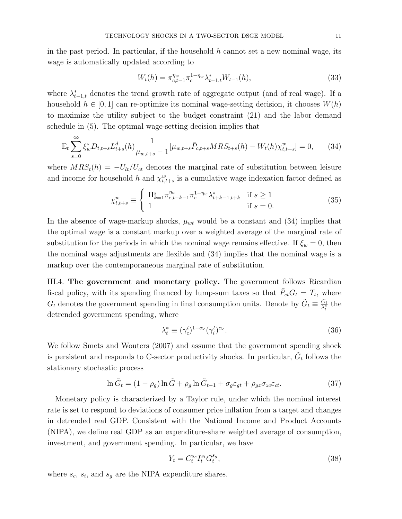in the past period. In particular, if the household  $h$  cannot set a new nominal wage, its wage is automatically updated according to

$$
W_t(h) = \pi_{c,t-1}^{\eta_w} \pi_c^{1-\eta_w} \lambda_{t-1,t}^* W_{t-1}(h),
$$
\n(33)

where  $\lambda_{t-1,t}^*$  denotes the trend growth rate of aggregate output (and of real wage). If a household  $h \in [0, 1]$  can re-optimize its nominal wage-setting decision, it chooses  $W(h)$ to maximize the utility subject to the budget constraint (21) and the labor demand schedule in (5). The optimal wage-setting decision implies that

$$
E_t \sum_{s=0}^{\infty} \xi_w^s D_{t,t+s} L_{t+s}^d(h) \frac{1}{\mu_{w,t+s} - 1} [\mu_{w,t+s} \bar{P}_{c,t+s} MRS_{t+s}(h) - W_t(h) \chi_{t,t+s}^w] = 0, \qquad (34)
$$

where  $MRS_t(h) = -U_{lt}/U_{ct}$  denotes the marginal rate of substitution between leisure and income for household h and  $\chi_{t,t+s}^w$  is a cumulative wage indexation factor defined as

$$
\chi_{t,t+s}^w \equiv \begin{cases} \n\prod_{k=1}^s \pi_{c,t+k-1}^{\eta_w} \pi_c^{1-\eta_w} \lambda_{t+k-1,t+k}^* & \text{if } s \ge 1 \\ \n1 & \text{if } s = 0. \n\end{cases} \tag{35}
$$

In the absence of wage-markup shocks,  $\mu_{wt}$  would be a constant and (34) implies that the optimal wage is a constant markup over a weighted average of the marginal rate of substitution for the periods in which the nominal wage remains effective. If  $\xi_w = 0$ , then the nominal wage adjustments are flexible and (34) implies that the nominal wage is a markup over the contemporaneous marginal rate of substitution.

III.4. The government and monetary policy. The government follows Ricardian fiscal policy, with its spending financed by lump-sum taxes so that  $\bar{P}_{ct}G_t = T_t$ , where  $G_t$  denotes the government spending in final consumption units. Denote by  $\tilde{G}_t \equiv \frac{G_t}{\lambda^*}$  $\frac{G_t}{\lambda^*_t}$  the detrended government spending, where

$$
\lambda_t^* \equiv (\gamma_c^t)^{1-\alpha_c} (\gamma_i^t)^{\alpha_c}.
$$
\n(36)

We follow Smets and Wouters (2007) and assume that the government spending shock is persistent and responds to C-sector productivity shocks. In particular,  $\tilde{G}_t$  follows the stationary stochastic process

$$
\ln \tilde{G}_t = (1 - \rho_g) \ln \tilde{G} + \rho_g \ln \tilde{G}_{t-1} + \sigma_g \varepsilon_{gt} + \rho_{gz} \sigma_{zc} \varepsilon_{ct}.
$$
\n(37)

Monetary policy is characterized by a Taylor rule, under which the nominal interest rate is set to respond to deviations of consumer price inflation from a target and changes in detrended real GDP. Consistent with the National Income and Product Accounts (NIPA), we define real GDP as an expenditure-share weighted average of consumption, investment, and government spending. In particular, we have

$$
Y_t = C_t^{s_c} I_t^{s_i} G_t^{s_g},\tag{38}
$$

where  $s_c$ ,  $s_i$ , and  $s_g$  are the NIPA expenditure shares.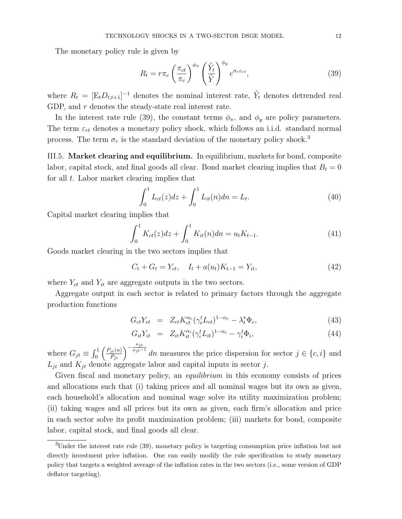The monetary policy rule is given by

$$
R_t = r\pi_c \left(\frac{\pi_{ct}}{\pi_c}\right)^{\phi_{\pi}} \left(\frac{\tilde{Y}_t}{\tilde{Y}}\right)^{\phi_y} e^{\sigma_r \varepsilon_{rt}},\tag{39}
$$

where  $R_t = [\mathbf{E}_t D_{t,t+1}]^{-1}$  denotes the nominal interest rate,  $\tilde{Y}_t$  denotes detrended real GDP, and r denotes the steady-state real interest rate.

In the interest rate rule (39), the constant terms  $\phi_{\pi}$ , and  $\phi_{y}$  are policy parameters. The term  $\varepsilon_{rt}$  denotes a monetary policy shock, which follows an i.i.d. standard normal process. The term  $\sigma_r$  is the standard deviation of the monetary policy shock.<sup>3</sup>

III.5. Market clearing and equilibrium. In equilibrium, markets for bond, composite labor, capital stock, and final goods all clear. Bond market clearing implies that  $B_t = 0$ for all  $t$ . Labor market clearing implies that

$$
\int_0^1 L_{ct}(z)dz + \int_0^1 L_{it}(n)dn = L_t.
$$
 (40)

Capital market clearing implies that

$$
\int_0^1 K_{ct}(z)dz + \int_0^1 K_{it}(n)dn = u_t K_{t-1}.
$$
\n(41)

Goods market clearing in the two sectors implies that

$$
C_t + G_t = Y_{ct}, \quad I_t + a(u_t)K_{t-1} = Y_{it}, \tag{42}
$$

where  $Y_{ct}$  and  $Y_{it}$  are aggregate outputs in the two sectors.

Aggregate output in each sector is related to primary factors through the aggregate production functions

$$
G_{ct}Y_{ct} = Z_{ct}K_{ct}^{\alpha_c}(\gamma_c^t L_{ct})^{1-\alpha_c} - \lambda_t^* \Phi_c, \qquad (43)
$$

$$
G_{it}Y_{it} = Z_{it}K_{it}^{\alpha_i}(\gamma_i^t L_{it})^{1-\alpha_i} - \gamma_i^t \Phi_i,
$$
\n(44)

where  $G_{jt} \equiv \int_0^1 \left( \frac{P_{jt}(n)}{\bar{P}_{it}} \right)$  $\left(\frac{\mu_{jt}(n)}{\bar{P}_{jt}}\right)^{-\frac{\mu_{jt}}{\mu_{jt}-1}}$ <sup> $\mu_{jt}$ -1</sup> dn measures the price dispersion for sector  $j \in \{c, i\}$  and  $L_{it}$  and  $K_{it}$  denote aggregate labor and capital inputs in sector j.

Given fiscal and monetary policy, an *equilibrium* in this economy consists of prices and allocations such that (i) taking prices and all nominal wages but its own as given, each household's allocation and nominal wage solve its utility maximization problem; (ii) taking wages and all prices but its own as given, each firm's allocation and price in each sector solve its profit maximization problem; (iii) markets for bond, composite labor, capital stock, and final goods all clear.

<sup>&</sup>lt;sup>3</sup>Under the interest rate rule (39), monetary policy is targeting consumption price inflation but not directly investment price inflation. One can easily modify the rule specification to study monetary policy that targets a weighted average of the inflation rates in the two sectors (i.e., some version of GDP deflator targeting).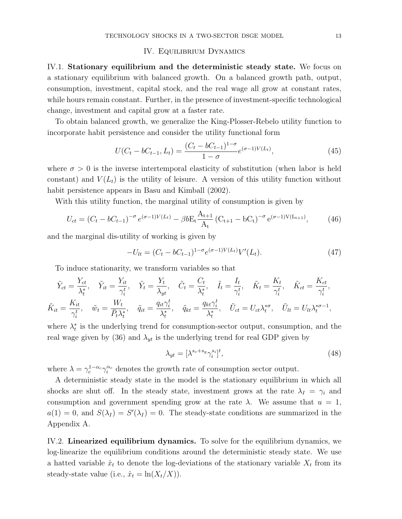## IV. Equilibrium Dynamics

IV.1. Stationary equilibrium and the deterministic steady state. We focus on a stationary equilibrium with balanced growth. On a balanced growth path, output, consumption, investment, capital stock, and the real wage all grow at constant rates, while hours remain constant. Further, in the presence of investment-specific technological change, investment and capital grow at a faster rate.

To obtain balanced growth, we generalize the King-Plosser-Rebelo utility function to incorporate habit persistence and consider the utility functional form

$$
U(C_t - bC_{t-1}, L_t) = \frac{(C_t - bC_{t-1})^{1-\sigma}}{1-\sigma} e^{(\sigma - 1)V(L_t)},
$$
\n(45)

where  $\sigma > 0$  is the inverse intertemporal elasticity of substitution (when labor is held constant) and  $V(L_t)$  is the utility of leisure. A version of this utility function without habit persistence appears in Basu and Kimball (2002).

With this utility function, the marginal utility of consumption is given by

$$
U_{ct} = (C_t - bC_{t-1})^{-\sigma} e^{(\sigma - 1)V(L_t)} - \beta b E_t \frac{A_{t+1}}{A_t} (C_{t+1} - bC_t)^{-\sigma} e^{(\sigma - 1)V(L_{t+1})}, \tag{46}
$$

and the marginal dis-utility of working is given by

$$
-U_{lt} = (C_t - bC_{t-1})^{1-\sigma} e^{(\sigma-1)V(L_t)} V'(L_t).
$$
\n(47)

To induce stationarity, we transform variables so that

$$
\tilde{Y}_{ct} = \frac{Y_{ct}}{\lambda_t^*}, \quad \tilde{Y}_{it} = \frac{Y_{it}}{\gamma_i^t}, \quad \tilde{Y}_t = \frac{Y_t}{\lambda_{yt}}, \quad \tilde{C}_t = \frac{C_t}{\lambda_t^*}, \quad \tilde{I}_t = \frac{I_t}{\gamma_i^t}, \quad \tilde{K}_t = \frac{K_t}{\gamma_i^t}, \quad \tilde{K}_{ct} = \frac{K_{ct}}{\gamma_i^t},
$$
\n
$$
\tilde{K}_{it} = \frac{K_{it}}{\gamma_i^t}, \quad \tilde{w}_t = \frac{W_t}{\bar{P}_t \lambda_t^*}, \quad \tilde{q}_{it} = \frac{q_{it}\gamma_i^t}{\lambda_t^*}, \quad \tilde{q}_{kt} = \frac{q_{kt}\gamma_i^t}{\lambda_t^*}, \quad \tilde{U}_{ct} = U_{ct}\lambda_t^{*\sigma}, \quad \tilde{U}_{lt} = U_{lt}\lambda_t^{*\sigma-1},
$$

where  $\lambda_t^*$  is the underlying trend for consumption-sector output, consumption, and the real wage given by (36) and  $\lambda_{yt}$  is the underlying trend for real GDP given by

$$
\lambda_{yt} = [\lambda^{s_c + s_g} \gamma_i^{s_i}]^t,\tag{48}
$$

where  $\lambda = \gamma_c^{1-\alpha_c} \gamma_i^{\alpha_c}$  denotes the growth rate of consumption sector output.

A deterministic steady state in the model is the stationary equilibrium in which all shocks are shut off. In the steady state, investment grows at the rate  $\lambda_I = \gamma_i$  and consumption and government spending grow at the rate  $\lambda$ . We assume that  $u = 1$ ,  $a(1) = 0$ , and  $S(\lambda_I) = S'(\lambda_I) = 0$ . The steady-state conditions are summarized in the Appendix A.

IV.2. Linearized equilibrium dynamics. To solve for the equilibrium dynamics, we log-linearize the equilibrium conditions around the deterministic steady state. We use a hatted variable  $\hat{x}_t$  to denote the log-deviations of the stationary variable  $X_t$  from its steady-state value (i.e.,  $\hat{x}_t = \ln(X_t/X)$ ).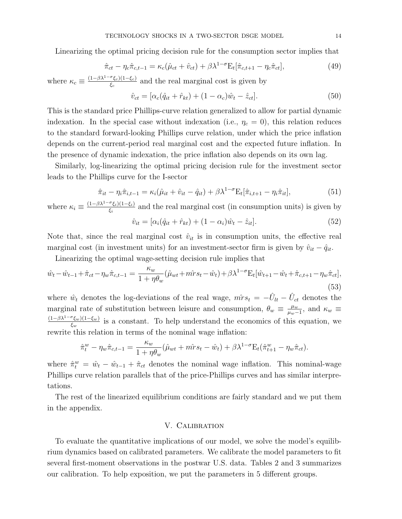Linearizing the optimal pricing decision rule for the consumption sector implies that

$$
\hat{\pi}_{ct} - \eta_c \hat{\pi}_{c,t-1} = \kappa_c (\hat{\mu}_{ct} + \hat{v}_{ct}) + \beta \lambda^{1-\sigma} E_t [\hat{\pi}_{c,t+1} - \eta_c \hat{\pi}_{ct}], \tag{49}
$$

where  $\kappa_c \equiv \frac{(1-\beta\lambda^{1-\sigma}\xi_c)(1-\xi_c)}{\xi_c}$  $\frac{\epsilon_{\mathcal{E}_c}(1-\epsilon_c)}{\epsilon_c}$  and the real marginal cost is given by

$$
\hat{v}_{ct} = [\alpha_c(\hat{q}_{it} + \hat{r}_{kt}) + (1 - \alpha_c)\hat{w}_t - \hat{z}_{ct}].
$$
\n(50)

This is the standard price Phillips-curve relation generalized to allow for partial dynamic indexation. In the special case without indexation (i.e.,  $\eta_c = 0$ ), this relation reduces to the standard forward-looking Phillips curve relation, under which the price inflation depends on the current-period real marginal cost and the expected future inflation. In the presence of dynamic indexation, the price inflation also depends on its own lag.

Similarly, log-linearizing the optimal pricing decision rule for the investment sector leads to the Phillips curve for the I-sector

$$
\hat{\pi}_{it} - \eta_i \hat{\pi}_{i,t-1} = \kappa_i (\hat{\mu}_{it} + \hat{v}_{it} - \hat{q}_{it}) + \beta \lambda^{1-\sigma} E_t[\hat{\pi}_{i,t+1} - \eta_i \hat{\pi}_{it}],
$$
\n(51)

where  $\kappa_i \equiv \frac{(1-\beta\lambda^{1-\sigma}\xi_i)(1-\xi_i)}{\xi_i}$  $\frac{\xi_i}{\xi_i}$  and the real marginal cost (in consumption units) is given by  $\hat{v}_{it} = [\alpha_i(\hat{q}_{it} + \hat{r}_{kt}) + (1 - \alpha_i)\hat{w}_t - \hat{z}_{it}].$  (52)

Note that, since the real marginal cost  $\hat{v}_{it}$  is in consumption units, the effective real marginal cost (in investment units) for an investment-sector firm is given by  $\hat{v}_{it} - \hat{q}_{it}$ .

Linearizing the optimal wage-setting decision rule implies that

$$
\hat{w}_t - \hat{w}_{t-1} + \hat{\pi}_{ct} - \eta_w \hat{\pi}_{c,t-1} = \frac{\kappa_w}{1 + \eta \theta_w} (\hat{\mu}_{wt} + m\hat{r}s_t - \hat{w}_t) + \beta \lambda^{1 - \sigma} E_t [\hat{w}_{t+1} - \hat{w}_t + \hat{\pi}_{c,t+1} - \eta_w \hat{\pi}_{ct}],
$$
\n(53)

where  $\hat{w}_t$  denotes the log-deviations of the real wage,  $\hat{mrs}_t = -\hat{U}_{lt} - \hat{U}_{ct}$  denotes the marginal rate of substitution between leisure and consumption,  $\theta_w \equiv \frac{\mu_w}{\mu_w - \mu_w}$  $\frac{\mu_w}{\mu_w-1}$ , and  $\kappa_w \equiv$  $(1-\beta\lambda^{1-\sigma}\xi_w)(1-\xi_w)$  $\frac{\zeta_{sw}(1-\zeta_w)}{\zeta_w}$  is a constant. To help understand the economics of this equation, we rewrite this relation in terms of the nominal wage inflation:

$$
\hat{\pi}_t^w - \eta_w \hat{\pi}_{c,t-1} = \frac{\kappa_w}{1 + \eta \theta_w} (\hat{\mu}_{wt} + \hat{m} \hat{r} s_t - \hat{w}_t) + \beta \lambda^{1-\sigma} E_t (\hat{\pi}_{t+1}^w - \eta_w \hat{\pi}_{ct}).
$$

where  $\hat{\pi}_t^w = \hat{w}_t - \hat{w}_{t-1} + \hat{\pi}_{ct}$  denotes the nominal wage inflation. This nominal-wage Phillips curve relation parallels that of the price-Phillips curves and has similar interpretations.

The rest of the linearized equilibrium conditions are fairly standard and we put them in the appendix.

## V. Calibration

To evaluate the quantitative implications of our model, we solve the model's equilibrium dynamics based on calibrated parameters. We calibrate the model parameters to fit several first-moment observations in the postwar U.S. data. Tables 2 and 3 summarizes our calibration. To help exposition, we put the parameters in 5 different groups.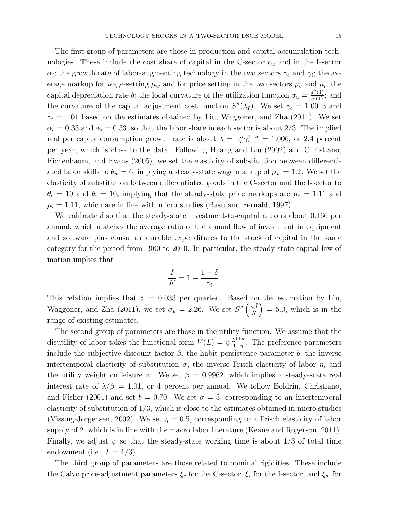The first group of parameters are those in production and capital accumulation technologies. These include the cost share of capital in the C-sector  $\alpha_c$  and in the I-sector  $\alpha_i$ ; the growth rate of labor-augmenting technology in the two sectors  $\gamma_c$  and  $\gamma_i$ ; the average markup for wage-setting  $\mu_w$  and for price setting in the two sectors  $\mu_c$  and  $\mu_i$ ; the capital depreciation rate  $\delta$ ; the local curvature of the utilization function  $\sigma_u = \frac{a''(1)}{a'(1)}$  $\frac{a^{\cdots}(1)}{a'(1)}$ ; and the curvature of the capital adjustment cost function  $S''(\lambda_I)$ . We set  $\gamma_c = 1.0043$  and  $\gamma_i = 1.01$  based on the estimates obtained by Liu, Waggoner, and Zha (2011). We set  $\alpha_c = 0.33$  and  $\alpha_i = 0.33$ , so that the labor share in each sector is about 2/3. The implied real per capita consumption growth rate is about  $\lambda = \gamma_i^{\alpha} \gamma_c^{1-\alpha} = 1.006$ , or 2.4 percent per year, which is close to the data. Following Huang and Liu (2002) and Christiano, Eichenbaum, and Evans (2005), we set the elasticity of substitution between differentiated labor skills to  $\theta_w = 6$ , implying a steady-state wage markup of  $\mu_w = 1.2$ . We set the elasticity of substitution between differentiated goods in the C-sector and the I-sector to  $\theta_c = 10$  and  $\theta_i = 10$ , implying that the steady-state price markups are  $\mu_c = 1.11$  and  $\mu_i = 1.11$ , which are in line with micro studies (Basu and Fernald, 1997).

We calibrate  $\delta$  so that the steady-state investment-to-capital ratio is about 0.166 per annual, which matches the average ratio of the annual flow of investment in equipment and software plus consumer durable expenditures to the stock of capital in the same category for the period from 1960 to 2010. In particular, the steady-state capital law of motion implies that

$$
\frac{I}{K} = 1 - \frac{1 - \delta}{\gamma_i}.
$$

This relation implies that  $\delta = 0.033$  per quarter. Based on the estimation by Liu, Waggoner, and Zha (2011), we set  $\sigma_u = 2.26$ . We set  $S''\left(\frac{\gamma_i \tilde{I}}{\tilde{K}}\right)$  $\tilde{K}$  $= 5.0$ , which is in the range of existing estimates.

The second group of parameters are those in the utility function. We assume that the disutility of labor takes the functional form  $V(L) = \psi_{\frac{1+n}{1+n}}^{L^{1+n}}$  $\frac{L^{1+\eta}}{1+\eta}$ . The preference parameters include the subjective discount factor  $\beta$ , the habit persistence parameter b, the inverse intertemporal elasticity of substitution  $\sigma$ , the inverse Frisch elasticity of labor  $\eta$ , and the utility weight on leisure  $\psi$ . We set  $\beta = 0.9962$ , which implies a steady-state real interest rate of  $\lambda/\beta = 1.01$ , or 4 percent per annual. We follow Boldrin, Christiano, and Fisher (2001) and set  $b = 0.70$ . We set  $\sigma = 3$ , corresponding to an intertemporal elasticity of substitution of  $1/3$ , which is close to the estimates obtained in micro studies (Vissing-Jorgensen, 2002). We set  $\eta = 0.5$ , corresponding to a Frisch elasticity of labor supply of 2, which is in line with the macro labor literature (Keane and Rogerson, 2011). Finally, we adjust  $\psi$  so that the steady-state working time is about 1/3 of total time endowment (i.e.,  $L = 1/3$ ).

The third group of parameters are those related to nominal rigidities. These include the Calvo price-adjustment parameters  $\xi_c$  for the C-sector,  $\xi_i$  for the I-sector, and  $\xi_w$  for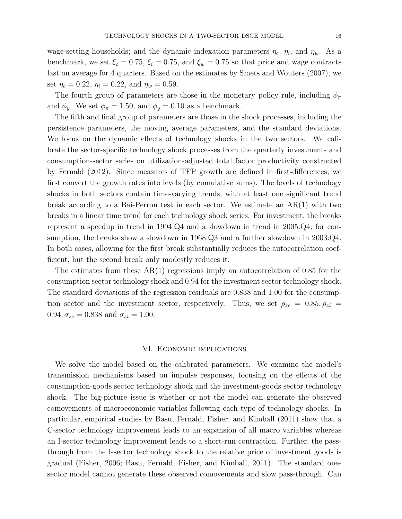wage-setting households; and the dynamic indexation parameters  $\eta_c$ ,  $\eta_i$ , and  $\eta_w$ . As a benchmark, we set  $\xi_c = 0.75$ ,  $\xi_i = 0.75$ , and  $\xi_w = 0.75$  so that price and wage contracts last on average for 4 quarters. Based on the estimates by Smets and Wouters (2007), we set  $\eta_c = 0.22$ ,  $\eta_i = 0.22$ , and  $\eta_w = 0.59$ .

The fourth group of parameters are those in the monetary policy rule, including  $\phi_{\pi}$ and  $\phi_y$ . We set  $\phi_{\pi} = 1.50$ , and  $\phi_y = 0.10$  as a benchmark.

The fifth and final group of parameters are those in the shock processes, including the persistence parameters, the moving average parameters, and the standard deviations. We focus on the dynamic effects of technology shocks in the two sectors. We calibrate the sector-specific technology shock processes from the quarterly investment- and consumption-sector series on utilization-adjusted total factor productivity constructed by Fernald (2012). Since measures of TFP growth are defined in first-differences, we first convert the growth rates into levels (by cumulative sums). The levels of technology shocks in both sectors contain time-varying trends, with at least one significant trend break according to a Bai-Perron test in each sector. We estimate an AR(1) with two breaks in a linear time trend for each technology shock series. For investment, the breaks represent a speedup in trend in 1994:Q4 and a slowdown in trend in 2005:Q4; for consumption, the breaks show a slowdown in 1968:Q3 and a further slowdown in 2003:Q4. In both cases, allowing for the first break substantially reduces the autocorrelation coefficient, but the second break only modestly reduces it.

The estimates from these  $AR(1)$  regressions imply an autocorrelation of 0.85 for the consumption sector technology shock and 0.94 for the investment sector technology shock. The standard deviations of the regression residuals are 0.838 and 1.00 for the consumption sector and the investment sector, respectively. Thus, we set  $\rho_{zc} = 0.85, \rho_{zi} =$  $0.94, \sigma_{zc} = 0.838$  and  $\sigma_{zi} = 1.00$ .

## VI. Economic implications

We solve the model based on the calibrated parameters. We examine the model's transmission mechanisms based on impulse responses, focusing on the effects of the consumption-goods sector technology shock and the investment-goods sector technology shock. The big-picture issue is whether or not the model can generate the observed comovements of macroeconomic variables following each type of technology shocks. In particular, empirical studies by Basu, Fernald, Fisher, and Kimball (2011) show that a C-sector technology improvement leads to an expansion of all macro variables whereas an I-sector technology improvement leads to a short-run contraction. Further, the passthrough from the I-sector technology shock to the relative price of investment goods is gradual (Fisher, 2006; Basu, Fernald, Fisher, and Kimball, 2011). The standard onesector model cannot generate these observed comovements and slow pass-through. Can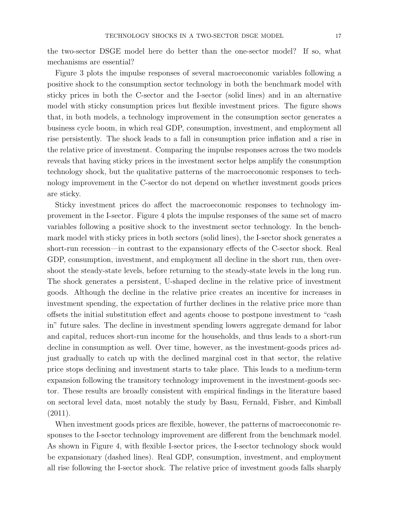the two-sector DSGE model here do better than the one-sector model? If so, what mechanisms are essential?

Figure 3 plots the impulse responses of several macroeconomic variables following a positive shock to the consumption sector technology in both the benchmark model with sticky prices in both the C-sector and the I-sector (solid lines) and in an alternative model with sticky consumption prices but flexible investment prices. The figure shows that, in both models, a technology improvement in the consumption sector generates a business cycle boom, in which real GDP, consumption, investment, and employment all rise persistently. The shock leads to a fall in consumption price inflation and a rise in the relative price of investment. Comparing the impulse responses across the two models reveals that having sticky prices in the investment sector helps amplify the consumption technology shock, but the qualitative patterns of the macroeconomic responses to technology improvement in the C-sector do not depend on whether investment goods prices are sticky.

Sticky investment prices do affect the macroeconomic responses to technology improvement in the I-sector. Figure 4 plots the impulse responses of the same set of macro variables following a positive shock to the investment sector technology. In the benchmark model with sticky prices in both sectors (solid lines), the I-sector shock generates a short-run recession—in contrast to the expansionary effects of the C-sector shock. Real GDP, consumption, investment, and employment all decline in the short run, then overshoot the steady-state levels, before returning to the steady-state levels in the long run. The shock generates a persistent, U-shaped decline in the relative price of investment goods. Although the decline in the relative price creates an incentive for increases in investment spending, the expectation of further declines in the relative price more than offsets the initial substitution effect and agents choose to postpone investment to "cash in" future sales. The decline in investment spending lowers aggregate demand for labor and capital, reduces short-run income for the households, and thus leads to a short-run decline in consumption as well. Over time, however, as the investment-goods prices adjust gradually to catch up with the declined marginal cost in that sector, the relative price stops declining and investment starts to take place. This leads to a medium-term expansion following the transitory technology improvement in the investment-goods sector. These results are broadly consistent with empirical findings in the literature based on sectoral level data, most notably the study by Basu, Fernald, Fisher, and Kimball (2011).

When investment goods prices are flexible, however, the patterns of macroeconomic responses to the I-sector technology improvement are different from the benchmark model. As shown in Figure 4, with flexible I-sector prices, the I-sector technology shock would be expansionary (dashed lines). Real GDP, consumption, investment, and employment all rise following the I-sector shock. The relative price of investment goods falls sharply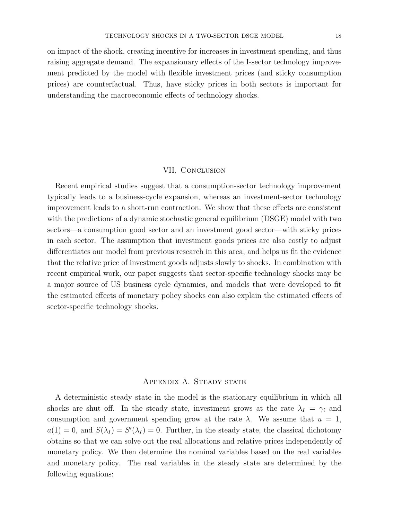on impact of the shock, creating incentive for increases in investment spending, and thus raising aggregate demand. The expansionary effects of the I-sector technology improvement predicted by the model with flexible investment prices (and sticky consumption prices) are counterfactual. Thus, have sticky prices in both sectors is important for understanding the macroeconomic effects of technology shocks.

## VII. Conclusion

Recent empirical studies suggest that a consumption-sector technology improvement typically leads to a business-cycle expansion, whereas an investment-sector technology improvement leads to a short-run contraction. We show that these effects are consistent with the predictions of a dynamic stochastic general equilibrium (DSGE) model with two sectors—a consumption good sector and an investment good sector—with sticky prices in each sector. The assumption that investment goods prices are also costly to adjust differentiates our model from previous research in this area, and helps us fit the evidence that the relative price of investment goods adjusts slowly to shocks. In combination with recent empirical work, our paper suggests that sector-specific technology shocks may be a major source of US business cycle dynamics, and models that were developed to fit the estimated effects of monetary policy shocks can also explain the estimated effects of sector-specific technology shocks.

# APPENDIX A. STEADY STATE

A deterministic steady state in the model is the stationary equilibrium in which all shocks are shut off. In the steady state, investment grows at the rate  $\lambda_I = \gamma_i$  and consumption and government spending grow at the rate  $\lambda$ . We assume that  $u = 1$ ,  $a(1) = 0$ , and  $S(\lambda_I) = S'(\lambda_I) = 0$ . Further, in the steady state, the classical dichotomy obtains so that we can solve out the real allocations and relative prices independently of monetary policy. We then determine the nominal variables based on the real variables and monetary policy. The real variables in the steady state are determined by the following equations: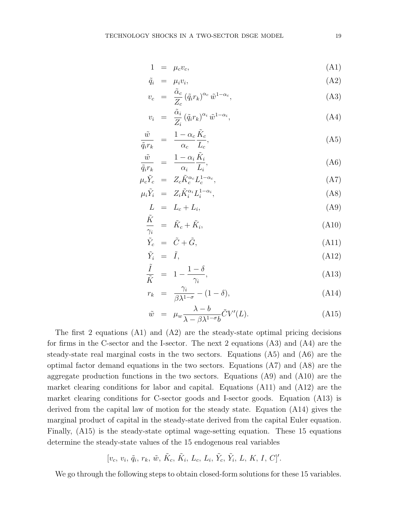$$
1 = \mu_c v_c,\tag{A1}
$$

$$
\tilde{q}_i = \mu_i v_i, \tag{A2}
$$

$$
v_c = \frac{\tilde{\alpha}_c}{Z_c} (\tilde{q}_i r_k)^{\alpha_c} \tilde{w}^{1-\alpha_c}, \tag{A3}
$$

$$
v_i = \frac{\tilde{\alpha}_i}{Z_i} (\tilde{q}_i r_k)^{\alpha_i} \tilde{w}^{1-\alpha_i}, \tag{A4}
$$

$$
\frac{\tilde{w}}{\tilde{q}_i r_k} = \frac{1 - \alpha_c}{\alpha_c} \frac{\tilde{K}_c}{L_c},\tag{A5}
$$

$$
\frac{\tilde{w}}{\tilde{q}_i r_k} = \frac{1 - \alpha_i}{\alpha_i} \frac{\tilde{K}_i}{L_i},\tag{A6}
$$

$$
\mu_c \tilde{Y}_c = Z_c \tilde{K}_c^{\alpha_c} L_c^{1-\alpha_c},\tag{A7}
$$

$$
\mu_i \tilde{Y}_i = Z_i \tilde{K}_i^{\alpha_i} L_i^{1-\alpha_i}, \tag{A8}
$$

$$
L = L_c + L_i,\tag{A9}
$$

$$
\frac{\tilde{K}}{\gamma_i} = \tilde{K}_c + \tilde{K}_i, \tag{A10}
$$

$$
\tilde{Y}_c = \tilde{C} + \tilde{G},\tag{A11}
$$

$$
\tilde{Y}_i = \tilde{I},\tag{A12}
$$

$$
\frac{\tilde{I}}{\tilde{K}} = 1 - \frac{1 - \delta}{\gamma_i},\tag{A13}
$$

$$
r_k = \frac{\gamma_i}{\beta \lambda^{1-\sigma}} - (1-\delta), \tag{A14}
$$

$$
\tilde{w} = \mu_w \frac{\lambda - b}{\lambda - \beta \lambda^{1 - \sigma} b} \tilde{C} V'(L). \tag{A15}
$$

The first 2 equations  $(A1)$  and  $(A2)$  are the steady-state optimal pricing decisions for firms in the C-sector and the I-sector. The next 2 equations (A3) and (A4) are the steady-state real marginal costs in the two sectors. Equations (A5) and (A6) are the optimal factor demand equations in the two sectors. Equations (A7) and (A8) are the aggregate production functions in the two sectors. Equations (A9) and (A10) are the market clearing conditions for labor and capital. Equations (A11) and (A12) are the market clearing conditions for C-sector goods and I-sector goods. Equation (A13) is derived from the capital law of motion for the steady state. Equation (A14) gives the marginal product of capital in the steady-state derived from the capital Euler equation. Finally, (A15) is the steady-state optimal wage-setting equation. These 15 equations determine the steady-state values of the 15 endogenous real variables

$$
[v_c, v_i, \tilde{q}_i, r_k, \tilde{w}, \tilde{K}_c, \tilde{K}_i, L_c, L_i, \tilde{Y}_c, \tilde{Y}_i, L, K, I, C]'
$$

We go through the following steps to obtain closed-form solutions for these 15 variables.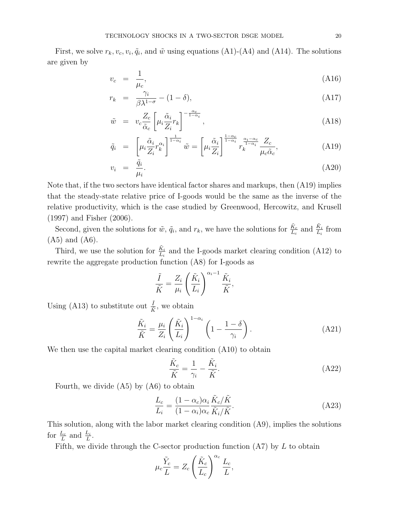First, we solve  $r_k, v_c, v_i, \tilde{q}_i$ , and  $\tilde{w}$  using equations (A1)-(A4) and (A14). The solutions are given by

$$
v_c = \frac{1}{\mu_c},\tag{A16}
$$

$$
r_k = \frac{\gamma_i}{\beta \lambda^{1-\sigma}} - (1-\delta), \tag{A17}
$$

$$
\tilde{w} = v_c \frac{Z_c}{\tilde{\alpha}_c} \left[ \mu_i \frac{\tilde{\alpha}_i}{Z_i} r_k \right]^{-\frac{\alpha_c}{1-\alpha_i}}, \tag{A18}
$$

$$
\tilde{q}_i = \left[ \mu_i \frac{\tilde{\alpha}_i}{Z_i} r_k^{\alpha_i} \right]^{\frac{1}{1 - \alpha_i}} \tilde{w} = \left[ \mu_i \frac{\tilde{\alpha}_i}{Z_i} \right]^{\frac{1 - \alpha_c}{1 - \alpha_i}} r_k^{\frac{\alpha_i - \alpha_c}{1 - \alpha_i}} \frac{Z_c}{\mu_c \tilde{\alpha}_c}, \tag{A19}
$$

$$
v_i = \frac{\tilde{q}_i}{\mu_i}.\tag{A20}
$$

Note that, if the two sectors have identical factor shares and markups, then (A19) implies that the steady-state relative price of I-goods would be the same as the inverse of the relative productivity, which is the case studied by Greenwood, Hercowitz, and Krusell (1997) and Fisher (2006).

Second, given the solutions for  $\tilde{w}$ ,  $\tilde{q}_i$ , and  $r_k$ , we have the solutions for  $\frac{\tilde{K}_c}{L_c}$  and  $\frac{\tilde{K}_i}{L_i}$  from (A5) and (A6).

Third, we use the solution for  $\frac{\tilde{K}_i}{L_i}$  and the I-goods market clearing condition (A12) to rewrite the aggregate production function (A8) for I-goods as

$$
\frac{\tilde{I}}{\tilde{K}} = \frac{Z_i}{\mu_i} \left( \frac{\tilde{K}_i}{L_i} \right)^{\alpha_i - 1} \frac{\tilde{K}_i}{\tilde{K}},
$$

Using (A13) to substitute out  $\frac{\tilde{I}}{\tilde{K}}$ , we obtain

$$
\frac{\tilde{K}_i}{\tilde{K}} = \frac{\mu_i}{Z_i} \left(\frac{\tilde{K}_i}{L_i}\right)^{1-\alpha_i} \left(1 - \frac{1-\delta}{\gamma_i}\right). \tag{A21}
$$

We then use the capital market clearing condition  $(A10)$  to obtain

$$
\frac{\tilde{K}_c}{\tilde{K}} = \frac{1}{\gamma_i} - \frac{\tilde{K}_i}{\tilde{K}}.\tag{A22}
$$

Fourth, we divide (A5) by (A6) to obtain

$$
\frac{L_c}{L_i} = \frac{(1 - \alpha_c)\alpha_i}{(1 - \alpha_i)\alpha_c} \frac{\tilde{K}_c/\tilde{K}}{\tilde{K}_i/\tilde{K}}.
$$
\n(A23)

This solution, along with the labor market clearing condition (A9), implies the solutions for  $\frac{L_c}{L}$  and  $\frac{L_i}{L}$ .

Fifth, we divide through the C-sector production function  $(A7)$  by  $L$  to obtain

$$
\mu_c \frac{\tilde{Y}_c}{L} = Z_c \left(\frac{\tilde{K}_c}{L_c}\right)^{\alpha_c} \frac{L_c}{L},
$$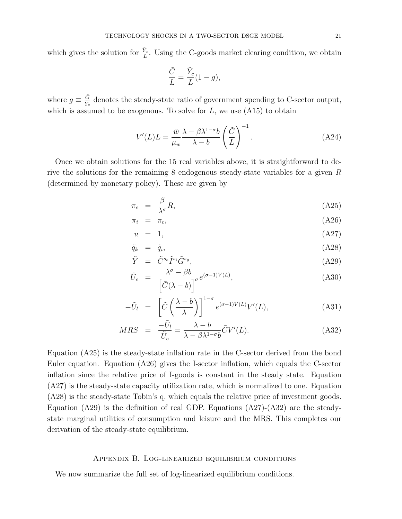which gives the solution for  $\frac{\tilde{Y}_c}{L}$ . Using the C-goods market clearing condition, we obtain

$$
\frac{\tilde{C}}{L} = \frac{\tilde{Y}_c}{L}(1 - g),
$$

where  $g \equiv \frac{\tilde{G}}{\tilde{\nabla}}$  $\frac{G}{Y_c}$  denotes the steady-state ratio of government spending to C-sector output, which is assumed to be exogenous. To solve for  $L$ , we use  $(A15)$  to obtain

$$
V'(L)L = \frac{\tilde{w}}{\mu_w} \frac{\lambda - \beta \lambda^{1-\sigma} b}{\lambda - b} \left(\frac{\tilde{C}}{L}\right)^{-1}.
$$
 (A24)

Once we obtain solutions for the 15 real variables above, it is straightforward to derive the solutions for the remaining 8 endogenous steady-state variables for a given R (determined by monetary policy). These are given by

$$
\pi_c = \frac{\beta}{\lambda^{\sigma}} R,\tag{A25}
$$

$$
\pi_i = \pi_c, \tag{A26}
$$

$$
u = 1,\t\t(A27)
$$

$$
\tilde{q}_k = \tilde{q}_i, \tag{A28}
$$

$$
\tilde{Y} = \tilde{C}^{s_c} \tilde{I}^{s_i} \tilde{G}^{s_g}, \tag{A29}
$$

$$
\tilde{U}_c = \frac{\lambda^{\sigma} - \beta b}{\left[\tilde{C}(\lambda - b)\right]^{\sigma}} e^{(\sigma - 1)V(L)},\tag{A30}
$$

$$
-\tilde{U}_l = \left[\tilde{C}\left(\frac{\lambda - b}{\lambda}\right)\right]^{1-\sigma} e^{(\sigma - 1)V(L)} V'(L), \tag{A31}
$$

$$
MRS = \frac{-\tilde{U}_l}{\tilde{U}_c} = \frac{\lambda - b}{\lambda - \beta \lambda^{1 - \sigma} b} \tilde{C} V'(L). \tag{A32}
$$

Equation (A25) is the steady-state inflation rate in the C-sector derived from the bond Euler equation. Equation (A26) gives the I-sector inflation, which equals the C-sector inflation since the relative price of I-goods is constant in the steady state. Equation (A27) is the steady-state capacity utilization rate, which is normalized to one. Equation (A28) is the steady-state Tobin's q, which equals the relative price of investment goods. Equation (A29) is the definition of real GDP. Equations (A27)-(A32) are the steadystate marginal utilities of consumption and leisure and the MRS. This completes our derivation of the steady-state equilibrium.

# Appendix B. Log-linearized equilibrium conditions

We now summarize the full set of log-linearized equilibrium conditions.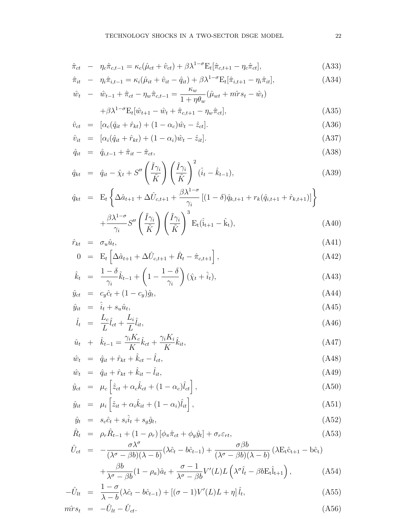$$
\hat{\pi}_{ct} - \eta_c \hat{\pi}_{c,t-1} = \kappa_c (\hat{\mu}_{ct} + \hat{v}_{ct}) + \beta \lambda^{1-\sigma} E_t[\hat{\pi}_{c,t+1} - \eta_c \hat{\pi}_{ct}], \tag{A33}
$$

$$
\hat{\pi}_{it} - \eta_i \hat{\pi}_{i,t-1} = \kappa_i (\hat{\mu}_{it} + \hat{v}_{it} - \hat{q}_{it}) + \beta \lambda^{1-\sigma} E_t [\hat{\pi}_{i,t+1} - \eta_i \hat{\pi}_{it}],
$$
\n(A34)

$$
\hat{w}_t - \hat{w}_{t-1} + \hat{\pi}_{ct} - \eta_w \hat{\pi}_{c,t-1} = \frac{\kappa_w}{1 + \eta \theta_w} (\hat{\mu}_{wt} + \hat{m} \hat{r} s_t - \hat{w}_t) \n+ \beta \lambda^{1-\sigma} \mathcal{E}_t[\hat{w}_{t+1} - \hat{w}_t + \hat{\pi}_{c,t+1} - \eta_w \hat{\pi}_{ct}],
$$
\n(A35)

$$
\hat{v}_{ct} = [\alpha_c(\hat{q}_{it} + \hat{r}_{kt}) + (1 - \alpha_c)\hat{w}_t - \hat{z}_{ct}].
$$
\n(A36)

$$
\hat{v}_{it} = [\alpha_i(\hat{q}_{it} + \hat{r}_{kt}) + (1 - \alpha_i)\hat{w}_t - \hat{z}_{it}].
$$
\n(A37)

$$
\hat{q}_{it} = \hat{q}_{i,t-1} + \hat{\pi}_{it} - \hat{\pi}_{ct},
$$
\n(A38)

$$
\hat{q}_{kt} = \hat{q}_{it} - \hat{\chi}_t + S'' \left( \frac{\tilde{I} \gamma_i}{\tilde{K}} \right) \left( \frac{\tilde{I} \gamma_i}{\tilde{K}} \right)^2 (\hat{i}_t - \hat{k}_{t-1}), \tag{A39}
$$

$$
\hat{q}_{kt} = \mathbf{E}_t \left\{ \Delta \hat{a}_{t+1} + \Delta \hat{U}_{c,t+1} + \frac{\beta \lambda^{1-\sigma}}{\gamma_i} \left[ (1-\delta) \hat{q}_{k,t+1} + r_k (\hat{q}_{i,t+1} + \hat{r}_{k,t+1}) \right] \right\} \n+ \frac{\beta \lambda^{1-\sigma}}{\gamma_i} S'' \left( \frac{\tilde{I} \gamma_i}{\tilde{K}} \right) \left( \frac{\tilde{I} \gamma_i}{\tilde{K}} \right)^3 \mathbf{E}_t (\hat{i}_{t+1} - \hat{k}_t),
$$
\n(A40)

$$
\hat{r}_{kt} = \sigma_u \hat{u}_t, \tag{A41}
$$

$$
0 = \mathbf{E}_t \left[ \Delta \hat{a}_{t+1} + \Delta \hat{U}_{c,t+1} + \hat{R}_t - \hat{\pi}_{c,t+1} \right], \tag{A42}
$$

$$
\hat{k}_t = \frac{1-\delta}{\gamma_i} \hat{k}_{t-1} + \left(1 - \frac{1-\delta}{\gamma_i}\right) (\hat{\chi}_t + \hat{i}_t),\tag{A43}
$$

$$
\hat{y}_{ct} = c_y \hat{c}_t + (1 - c_y) \hat{g}_t,\tag{A44}
$$

$$
\hat{y}_{it} = \hat{i}_t + s_u \hat{u}_t,\tag{A45}
$$

$$
\hat{l}_t = \frac{L_c}{L} \hat{l}_{ct} + \frac{L_i}{L} \hat{l}_{it},\tag{A46}
$$

$$
\hat{u}_t + \hat{k}_{t-1} = \frac{\gamma_i K_c}{K} \hat{k}_{ct} + \frac{\gamma_i K_i}{K} \hat{k}_{it},
$$
\n(A47)

$$
\hat{w}_t = \hat{q}_{it} + \hat{r}_{kt} + \hat{k}_{ct} - \hat{l}_{ct},\tag{A48}
$$

$$
\hat{w}_t = \hat{q}_{it} + \hat{r}_{kt} + \hat{k}_{it} - \hat{l}_{it},
$$
\n
$$
\hat{y}_t = \mu \begin{bmatrix} \hat{z}_t + \alpha \hat{k}_t + (1 - \alpha) \hat{l}_t \end{bmatrix}
$$
\n(A49)

$$
\hat{y}_{ct} = \mu_c \left[ \hat{z}_{ct} + \alpha_c \hat{k}_{ct} + (1 - \alpha_c) \hat{l}_{ct} \right],\tag{A50}
$$

$$
\hat{y}_{it} = \mu_i \left[ \hat{z}_{it} + \alpha_i \hat{k}_{it} + (1 - \alpha_i) \hat{l}_{it} \right], \tag{A51}
$$

$$
\hat{y}_t = s_c \hat{c}_t + s_i \hat{i}_t + s_g \hat{g}_t,\tag{A52}
$$

$$
\hat{R}_t = \rho_r \hat{R}_{t-1} + (1 - \rho_r) [\phi_\pi \hat{\pi}_{ct} + \phi_y \hat{y}_t] + \sigma_r \varepsilon_{rt},
$$
\n
$$
\hat{\sigma} \lambda^\sigma
$$
\n
$$
\hat{\sigma} \lambda^\sigma
$$
\n
$$
\hat{\sigma} \lambda^\sigma
$$
\n
$$
\hat{\sigma} \beta b
$$
\n
$$
\hat{\sigma} \beta b
$$
\n
$$
\hat{\sigma} \beta \hat{\sigma}
$$
\n
$$
\hat{\sigma} \beta b
$$
\n
$$
\hat{\sigma} \beta b
$$
\n
$$
\hat{\sigma} \beta \hat{\sigma}
$$

$$
\hat{U}_{ct} = -\frac{\sigma \lambda^{\sigma}}{(\lambda^{\sigma} - \beta b)(\lambda - b)} (\lambda \hat{c}_{t} - b\hat{c}_{t-1}) + \frac{\sigma \beta b}{(\lambda^{\sigma} - \beta b)(\lambda - b)} (\lambda E_{t}\hat{c}_{t+1} - b\hat{c}_{t})
$$
\n
$$
\beta b \quad (1, \ldots) \hat{c}_{t} = \frac{\sigma - 1}{\sigma - 1} \mathbf{V}'_{t} (\mathbf{V}_{t}) \mathbf{V}_{t} (\lambda \hat{c}_{t} - \beta E_{t}) \tag{A.54}
$$

$$
+\frac{\beta b}{\lambda^{\sigma}-\beta b}(1-\rho_{a})\hat{a}_{t}+\frac{\sigma-1}{\lambda^{\sigma}-\beta b}V'(L)L\left(\lambda^{\sigma}\hat{l}_{t}-\beta bE_{t}\hat{l}_{t+1}\right),\tag{A54}
$$

$$
-\hat{U}_{lt} = \frac{1-\sigma}{\lambda-b}(\lambda \hat{c}_t - b\hat{c}_{t-1}) + [(\sigma - 1)V'(L)L + \eta] \hat{l}_t,
$$
\n(A55)

$$
\hat{m}r s_t = -\hat{U}_{lt} - \hat{U}_{ct}.
$$
\n(A56)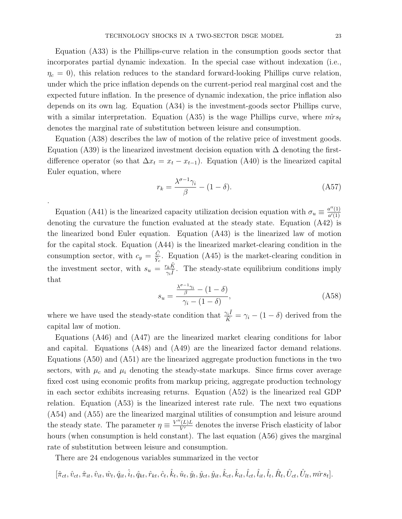Equation (A33) is the Phillips-curve relation in the consumption goods sector that incorporates partial dynamic indexation. In the special case without indexation (i.e.,  $\eta_c = 0$ , this relation reduces to the standard forward-looking Phillips curve relation, under which the price inflation depends on the current-period real marginal cost and the expected future inflation. In the presence of dynamic indexation, the price inflation also depends on its own lag. Equation (A34) is the investment-goods sector Phillips curve, with a similar interpretation. Equation (A35) is the wage Phillips curve, where  $\hat{m} s_t$ denotes the marginal rate of substitution between leisure and consumption.

Equation (A38) describes the law of motion of the relative price of investment goods. Equation (A39) is the linearized investment decision equation with  $\Delta$  denoting the firstdifference operator (so that  $\Delta x_t = x_t - x_{t-1}$ ). Equation (A40) is the linearized capital Euler equation, where

$$
r_k = \frac{\lambda^{\sigma - 1} \gamma_i}{\beta} - (1 - \delta). \tag{A57}
$$

Equation (A41) is the linearized capacity utilization decision equation with  $\sigma_u \equiv \frac{a''(1)}{a'(1)}$  $a'(1)$ denoting the curvature the function evaluated at the steady state. Equation (A42) is the linearized bond Euler equation. Equation (A43) is the linearized law of motion for the capital stock. Equation (A44) is the linearized market-clearing condition in the consumption sector, with  $c_y = \frac{\tilde{C}}{\tilde{Y}}$  $\frac{C}{\tilde{Y}_c}$ . Equation (A45) is the market-clearing condition in the investment sector, with  $s_u = \frac{r_k \tilde{K}}{g}$  $\frac{\gamma_k K}{\gamma_i \tilde{I}}$ . The steady-state equilibrium conditions imply that

.

$$
s_u = \frac{\frac{\lambda^{\sigma - 1} \gamma_i}{\beta} - (1 - \delta)}{\gamma_i - (1 - \delta)},\tag{A58}
$$

where we have used the steady-state condition that  $\frac{\gamma_i \tilde{I}}{\tilde{K}} = \gamma_i - (1 - \delta)$  derived from the capital law of motion.

Equations (A46) and (A47) are the linearized market clearing conditions for labor and capital. Equations (A48) and (A49) are the linearized factor demand relations. Equations (A50) and (A51) are the linearized aggregate production functions in the two sectors, with  $\mu_c$  and  $\mu_i$  denoting the steady-state markups. Since firms cover average fixed cost using economic profits from markup pricing, aggregate production technology in each sector exhibits increasing returns. Equation (A52) is the linearized real GDP relation. Equation (A53) is the linearized interest rate rule. The next two equations (A54) and (A55) are the linearized marginal utilities of consumption and leisure around the steady state. The parameter  $\eta \equiv \frac{V''(L)L}{V'}$  denotes the inverse Frisch elasticity of labor hours (when consumption is held constant). The last equation (A56) gives the marginal rate of substitution between leisure and consumption.

There are 24 endogenous variables summarized in the vector

 $[\hat{\pi}_{ct}, \hat{v}_{ct}, \hat{\pi}_{it}, \hat{v}_{it}, \hat{q}_{it}, \hat{i}_{t}, \hat{q}_{kt}, \hat{r}_{kt}, \hat{c}_{t}, \hat{k}_{t}, \hat{u}_{t}, \hat{y}_{t}, \hat{y}_{ct}, \hat{y}_{it}, \hat{k}_{ct}, \hat{k}_{it}, \hat{l}_{ct}, \hat{l}_{it}, \hat{R}_{t}, \hat{U}_{ct}, \hat{U}_{lt}, \hat{m} \hat{r} s_{t}].$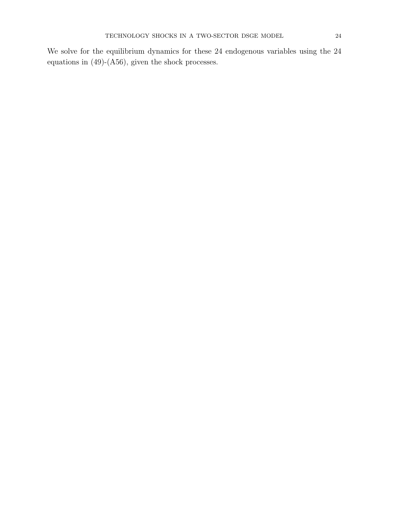We solve for the equilibrium dynamics for these 24 endogenous variables using the 24 equations in (49)-(A56), given the shock processes.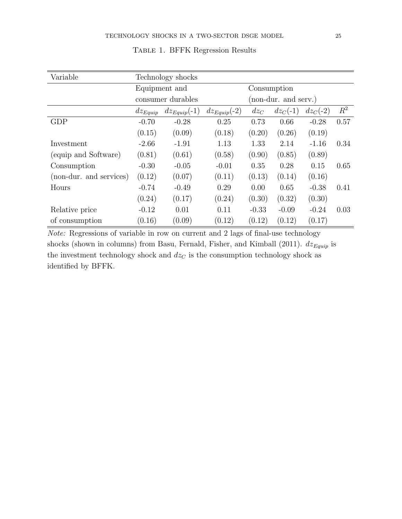| Variable                | Technology shocks |                  |                  |                      |            |            |       |
|-------------------------|-------------------|------------------|------------------|----------------------|------------|------------|-------|
|                         | Equipment and     |                  |                  | Consumption          |            |            |       |
|                         | consumer durables |                  |                  | (non-dur. and serv.) |            |            |       |
|                         | $dz_{Equip}$      | $dz_{Equip}(-1)$ | $dz_{Equip}(-2)$ | $dz_C$               | $dz_C(-1)$ | $dz_C(-2)$ | $R^2$ |
| <b>GDP</b>              | $-0.70$           | $-0.28$          | 0.25             | 0.73                 | 0.66       | $-0.28$    | 0.57  |
|                         | (0.15)            | (0.09)           | (0.18)           | (0.20)               | (0.26)     | (0.19)     |       |
| Investment              | $-2.66$           | $-1.91$          | 1.13             | 1.33                 | 2.14       | $-1.16$    | 0.34  |
| (equip and Software)    | (0.81)            | (0.61)           | (0.58)           | (0.90)               | (0.85)     | (0.89)     |       |
| Consumption             | $-0.30$           | $-0.05$          | $-0.01$          | 0.35                 | 0.28       | 0.15       | 0.65  |
| (non-dur. and services) | (0.12)            | (0.07)           | (0.11)           | (0.13)               | (0.14)     | (0.16)     |       |
| Hours                   | $-0.74$           | $-0.49$          | 0.29             | 0.00                 | 0.65       | $-0.38$    | 0.41  |
|                         | (0.24)            | (0.17)           | (0.24)           | (0.30)               | (0.32)     | (0.30)     |       |
| Relative price          | $-0.12$           | 0.01             | 0.11             | $-0.33$              | $-0.09$    | $-0.24$    | 0.03  |
| of consumption          | (0.16)            | (0.09)           | (0.12)           | (0.12)               | (0.12)     | (0.17)     |       |

# Table 1. BFFK Regression Results

Note: Regressions of variable in row on current and 2 lags of final-use technology shocks (shown in columns) from Basu, Fernald, Fisher, and Kimball (2011).  $dz_{Equip}$  is the investment technology shock and  $dz_C$  is the consumption technology shock as identified by BFFK.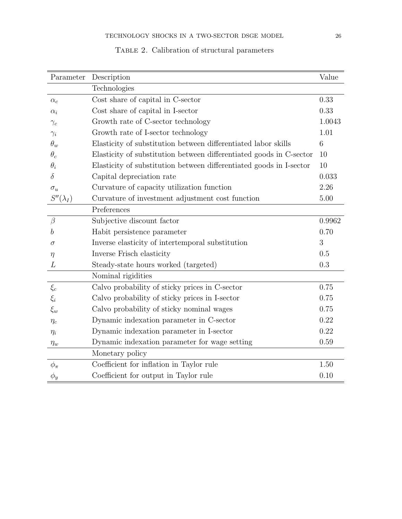| Parameter        | Description                                                         | Value  |
|------------------|---------------------------------------------------------------------|--------|
|                  | Technologies                                                        |        |
| $\alpha_c$       | Cost share of capital in C-sector                                   | 0.33   |
| $\alpha_i$       | Cost share of capital in I-sector                                   | 0.33   |
| $\gamma_c$       | Growth rate of C-sector technology                                  | 1.0043 |
| $\gamma_i$       | Growth rate of I-sector technology                                  | 1.01   |
| $\theta_w$       | Elasticity of substitution between differentiated labor skills      | 6      |
| $\theta_c$       | Elasticity of substitution between differentiated goods in C-sector | 10     |
| $\theta_i$       | Elasticity of substitution between differentiated goods in I-sector | 10     |
| $\delta$         | Capital depreciation rate                                           | 0.033  |
| $\sigma_u$       | Curvature of capacity utilization function                          | 2.26   |
| $S''(\lambda_I)$ | Curvature of investment adjustment cost function                    | 5.00   |
|                  | Preferences                                                         |        |
| $\beta$          | Subjective discount factor                                          | 0.9962 |
| b                | Habit persistence parameter                                         | 0.70   |
| $\sigma$         | Inverse elasticity of intertemporal substitution                    | 3      |
| $\eta$           | Inverse Frisch elasticity                                           | 0.5    |
| L                | Steady-state hours worked (targeted)                                | 0.3    |
|                  | Nominal rigidities                                                  |        |
| $\xi_c$          | Calvo probability of sticky prices in C-sector                      | 0.75   |
| $\xi_i$          | Calvo probability of sticky prices in I-sector                      | 0.75   |
| $\xi_w$          | Calvo probability of sticky nominal wages                           | 0.75   |
| $\eta_c$         | Dynamic indexation parameter in C-sector                            | 0.22   |
| $\eta_i$         | Dynamic indexation parameter in I-sector                            | 0.22   |
| $\eta_w$         | Dynamic indexation parameter for wage setting                       | 0.59   |
|                  | Monetary policy                                                     |        |
| $\phi_{\pi}$     | Coefficient for inflation in Taylor rule                            | 1.50   |
| $\phi_y$         | Coefficient for output in Taylor rule                               | 0.10   |

# TABLE 2. Calibration of structural parameters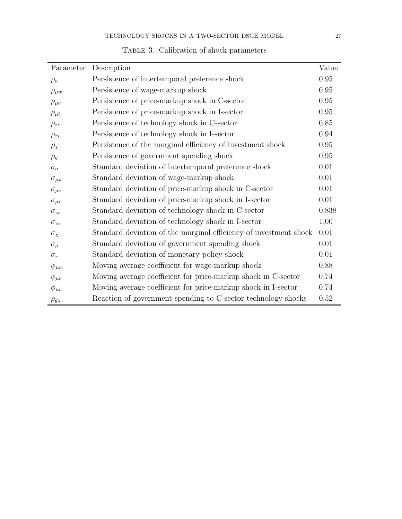| Parameter        | Description                                                       | Value      |
|------------------|-------------------------------------------------------------------|------------|
| $\rho_a$         | Persistence of intertemporal preference shock                     | $0.95\,$   |
| $\rho_{\mu w}$   | Persistence of wage-markup shock                                  | 0.95       |
| $\rho_{\mu c}$   | Persistence of price-markup shock in C-sector                     | 0.95       |
| $\rho_{\mu i}$   | Persistence of price-markup shock in I-sector                     | 0.95       |
| $\rho_{zc}$      | Persistence of technology shock in C-sector                       | 0.85       |
| $\rho_{zi}$      | Persistence of technology shock in I-sector                       | 0.94       |
| $\rho_{\chi}$    | Persistence of the marginal efficiency of investment shock        | $0.95\,$   |
| $\rho_g$         | Persistence of government spending shock                          | $\rm 0.95$ |
| $\sigma_a$       | Standard deviation of intertemporal preference shock              | 0.01       |
| $\sigma_{\mu w}$ | Standard deviation of wage-markup shock                           | $0.01\,$   |
| $\sigma_{\mu c}$ | Standard deviation of price-markup shock in C-sector              | 0.01       |
| $\sigma_{\mu i}$ | Standard deviation of price-markup shock in I-sector              | 0.01       |
| $\sigma_{zc}$    | Standard deviation of technology shock in C-sector                | 0.838      |
| $\sigma_{zi}$    | Standard deviation of technology shock in I-sector                | 1.00       |
| $\sigma_{\chi}$  | Standard deviation of the marginal efficiency of investment shock | 0.01       |
| $\sigma_g$       | Standard deviation of government spending shock                   | 0.01       |
| $\sigma_r$       | Standard deviation of monetary policy shock                       | 0.01       |
| $\phi_{\mu w}$   | Moving average coefficient for wage-markup shock                  | 0.88       |
| $\phi_{\mu c}$   | Moving average coefficient for price-markup shock in C-sector     | 0.74       |
| $\phi_{\mu i}$   | Moving average coefficient for price-markup shock in I-sector     | 0.74       |
| $\rho_{gz}$      | Reaction of government spending to C-sector technology shocks     | $0.52\,$   |

Table 3. Calibration of shock parameters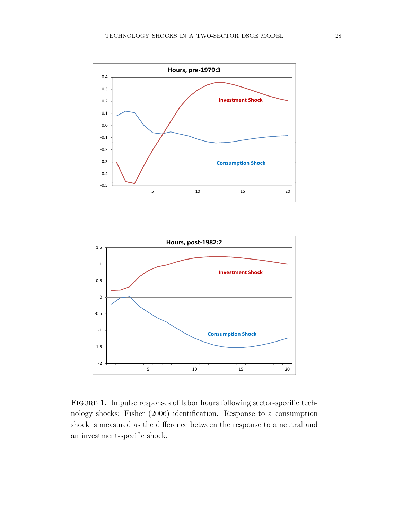



Figure 1. Impulse responses of labor hours following sector-specific technology shocks: Fisher (2006) identification. Response to a consumption shock is measured as the difference between the response to a neutral and an investment-specific shock.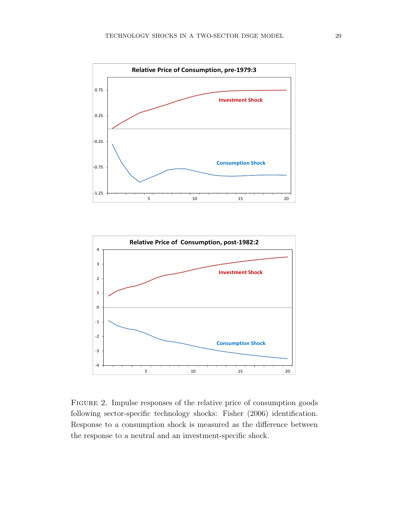

Figure 2. Impulse responses of the relative price of consumption goods following sector-specific technology shocks: Fisher (2006) identification. Response to a consumption shock is measured as the difference between the response to a neutral and an investment-specific shock.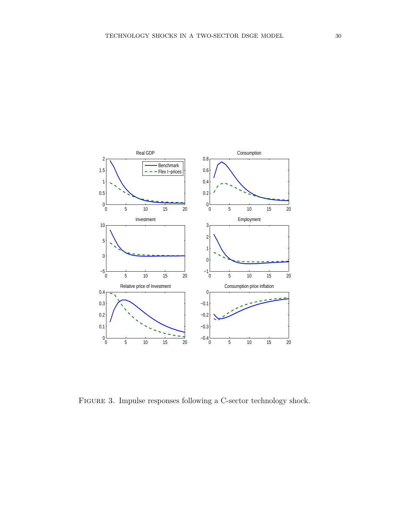

FIGURE 3. Impulse responses following a C-sector technology shock.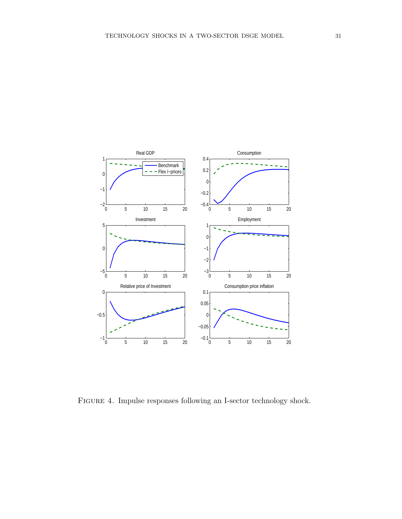

FIGURE 4. Impulse responses following an I-sector technology shock.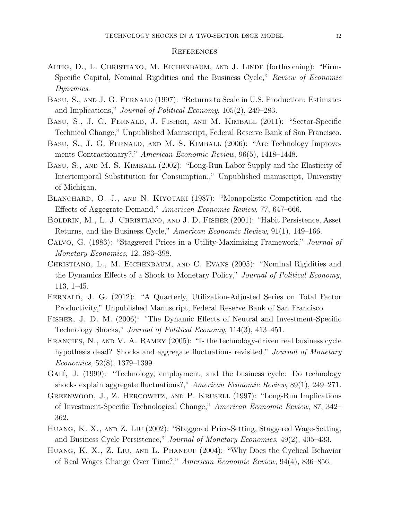#### **REFERENCES**

- Altig, D., L. Christiano, M. Eichenbaum, and J. Linde (forthcoming): "Firm-Specific Capital, Nominal Rigidities and the Business Cycle," Review of Economic Dynamics.
- Basu, S., and J. G. Fernald (1997): "Returns to Scale in U.S. Production: Estimates and Implications," Journal of Political Economy, 105(2), 249–283.
- Basu, S., J. G. Fernald, J. Fisher, and M. Kimball (2011): "Sector-Specific Technical Change," Unpublished Manuscript, Federal Reserve Bank of San Francisco.
- BASU, S., J. G. FERNALD, AND M. S. KIMBALL (2006): "Are Technology Improvements Contractionary?," American Economic Review, 96(5), 1418–1448.
- Basu, S., and M. S. Kimball (2002): "Long-Run Labor Supply and the Elasticity of Intertemporal Substitution for Consumption.," Unpublished manuscript, Universtiy of Michigan.
- BLANCHARD, O. J., AND N. KIYOTAKI (1987): "Monopolistic Competition and the Effects of Aggegrate Demand," American Economic Review, 77, 647–666.
- Boldrin, M., L. J. Christiano, and J. D. Fisher (2001): "Habit Persistence, Asset Returns, and the Business Cycle," American Economic Review, 91(1), 149–166.
- Calvo, G. (1983): "Staggered Prices in a Utility-Maximizing Framework," Journal of Monetary Economics, 12, 383–398.
- Christiano, L., M. Eichenbaum, and C. Evans (2005): "Nominal Rigidities and the Dynamics Effects of a Shock to Monetary Policy," Journal of Political Economy, 113, 1–45.
- Fernald, J. G. (2012): "A Quarterly, Utilization-Adjusted Series on Total Factor Productivity," Unpublished Manuscript, Federal Reserve Bank of San Francisco.
- Fisher, J. D. M. (2006): "The Dynamic Effects of Neutral and Investment-Specific Technology Shocks," Journal of Political Economy, 114(3), 413–451.
- Francies, N., and V. A. Ramey (2005): "Is the technology-driven real business cycle hypothesis dead? Shocks and aggregate fluctuations revisited," *Journal of Monetary* Economics, 52(8), 1379–1399.
- GALÍ, J. (1999): "Technology, employment, and the business cycle: Do technology shocks explain aggregate fluctuations?," American Economic Review, 89(1), 249–271.
- Greenwood, J., Z. Hercowitz, and P. Krusell (1997): "Long-Run Implications of Investment-Specific Technological Change," American Economic Review, 87, 342– 362.
- Huang, K. X., and Z. Liu (2002): "Staggered Price-Setting, Staggered Wage-Setting, and Business Cycle Persistence," Journal of Monetary Economics, 49(2), 405–433.
- Huang, K. X., Z. Liu, and L. Phaneuf (2004): "Why Does the Cyclical Behavior of Real Wages Change Over Time?," American Economic Review, 94(4), 836–856.